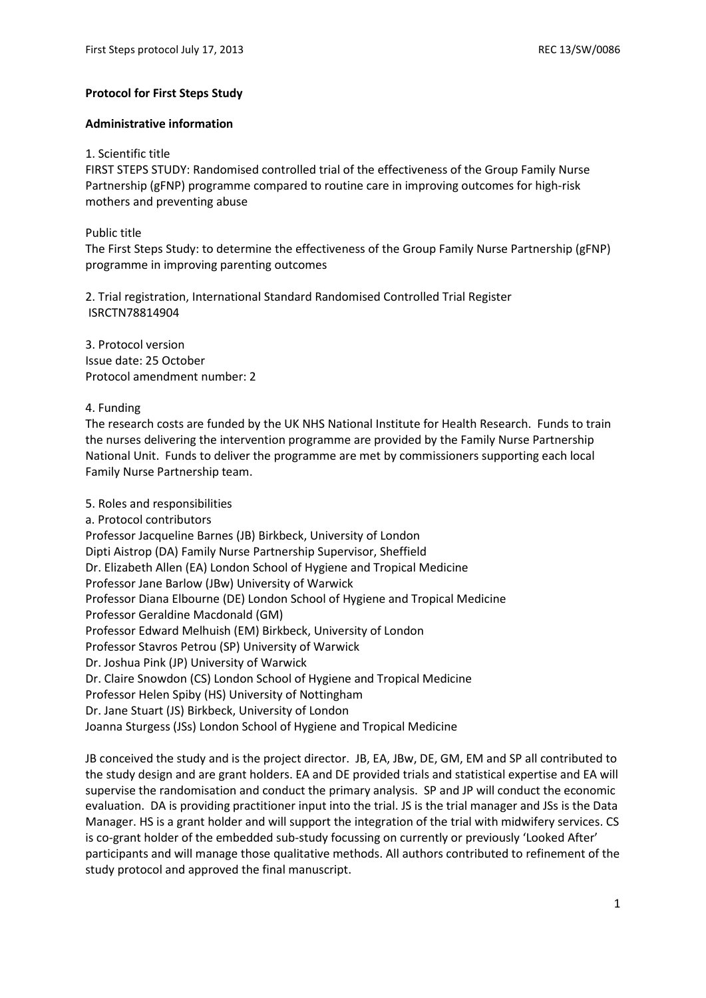#### **Protocol for First Steps Study**

#### **Administrative information**

#### 1. Scientific title

FIRST STEPS STUDY: Randomised controlled trial of the effectiveness of the Group Family Nurse Partnership (gFNP) programme compared to routine care in improving outcomes for high-risk mothers and preventing abuse

# Public title

The First Steps Study: to determine the effectiveness of the Group Family Nurse Partnership (gFNP) programme in improving parenting outcomes

2. Trial registration, International Standard Randomised Controlled Trial Register ISRCTN78814904

3. Protocol version Issue date: 25 October Protocol amendment number: 2

# 4. Funding

The research costs are funded by the UK NHS National Institute for Health Research. Funds to train the nurses delivering the intervention programme are provided by the Family Nurse Partnership National Unit. Funds to deliver the programme are met by commissioners supporting each local Family Nurse Partnership team.

# 5. Roles and responsibilities a. Protocol contributors Professor Jacqueline Barnes (JB) Birkbeck, University of London Dipti Aistrop (DA) Family Nurse Partnership Supervisor, Sheffield Dr. Elizabeth Allen (EA) London School of Hygiene and Tropical Medicine Professor Jane Barlow (JBw) University of Warwick Professor Diana Elbourne (DE) London School of Hygiene and Tropical Medicine Professor Geraldine Macdonald (GM) Professor Edward Melhuish (EM) Birkbeck, University of London Professor Stavros Petrou (SP) University of Warwick Dr. Joshua Pink (JP) University of Warwick Dr. Claire Snowdon (CS) London School of Hygiene and Tropical Medicine Professor Helen Spiby (HS) University of Nottingham Dr. Jane Stuart (JS) Birkbeck, University of London Joanna Sturgess (JSs) London School of Hygiene and Tropical Medicine

JB conceived the study and is the project director. JB, EA, JBw, DE, GM, EM and SP all contributed to the study design and are grant holders. EA and DE provided trials and statistical expertise and EA will supervise the randomisation and conduct the primary analysis. SP and JP will conduct the economic evaluation. DA is providing practitioner input into the trial. JS is the trial manager and JSs is the Data Manager. HS is a grant holder and will support the integration of the trial with midwifery services. CS is co-grant holder of the embedded sub-study focussing on currently or previously 'Looked After' participants and will manage those qualitative methods. All authors contributed to refinement of the study protocol and approved the final manuscript.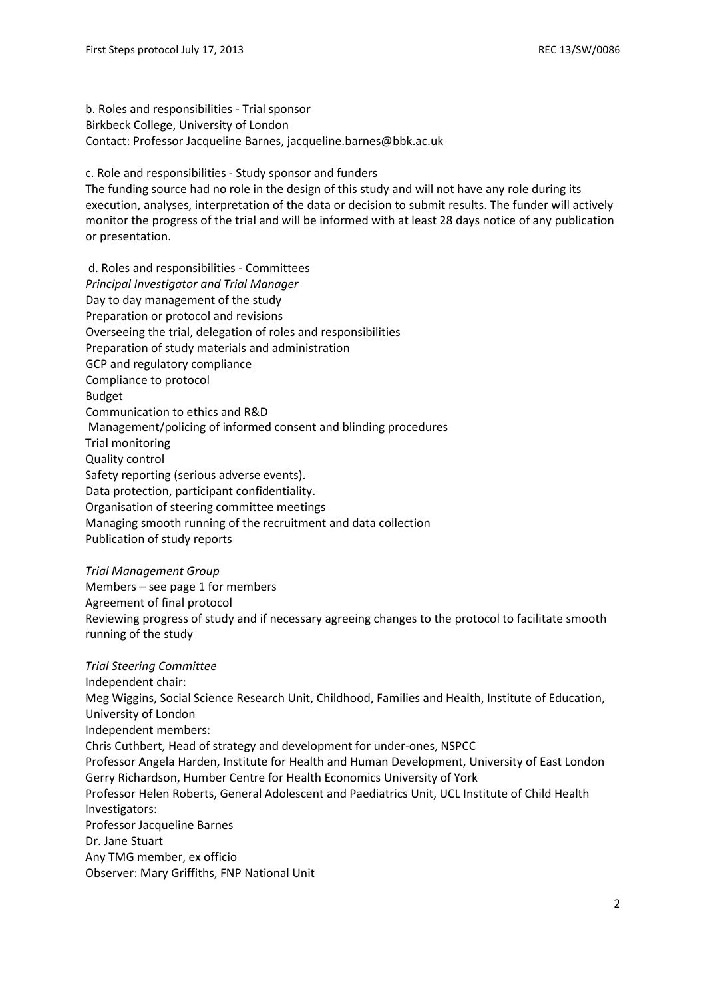b. Roles and responsibilities - Trial sponsor Birkbeck College, University of London Contact: Professor Jacqueline Barnes, jacqueline.barnes@bbk.ac.uk

c. Role and responsibilities - Study sponsor and funders

The funding source had no role in the design of this study and will not have any role during its execution, analyses, interpretation of the data or decision to submit results. The funder will actively monitor the progress of the trial and will be informed with at least 28 days notice of any publication or presentation.

d. Roles and responsibilities - Committees *Principal Investigator and Trial Manager* Day to day management of the study Preparation or protocol and revisions Overseeing the trial, delegation of roles and responsibilities Preparation of study materials and administration GCP and regulatory compliance Compliance to protocol Budget Communication to ethics and R&D Management/policing of informed consent and blinding procedures Trial monitoring Quality control Safety reporting (serious adverse events). Data protection, participant confidentiality. Organisation of steering committee meetings Managing smooth running of the recruitment and data collection Publication of study reports

#### *Trial Management Group*

Members – see page 1 for members Agreement of final protocol Reviewing progress of study and if necessary agreeing changes to the protocol to facilitate smooth running of the study

*Trial Steering Committee* Independent chair: Meg Wiggins, Social Science Research Unit, Childhood, Families and Health, Institute of Education, University of London Independent members: Chris Cuthbert, Head of strategy and development for under-ones, NSPCC Professor Angela Harden, Institute for Health and Human Development, University of East London Gerry Richardson, Humber Centre for Health Economics University of York Professor Helen Roberts, General Adolescent and Paediatrics Unit, UCL Institute of Child Health Investigators: Professor Jacqueline Barnes Dr. Jane Stuart Any TMG member, ex officio Observer: Mary Griffiths, FNP National Unit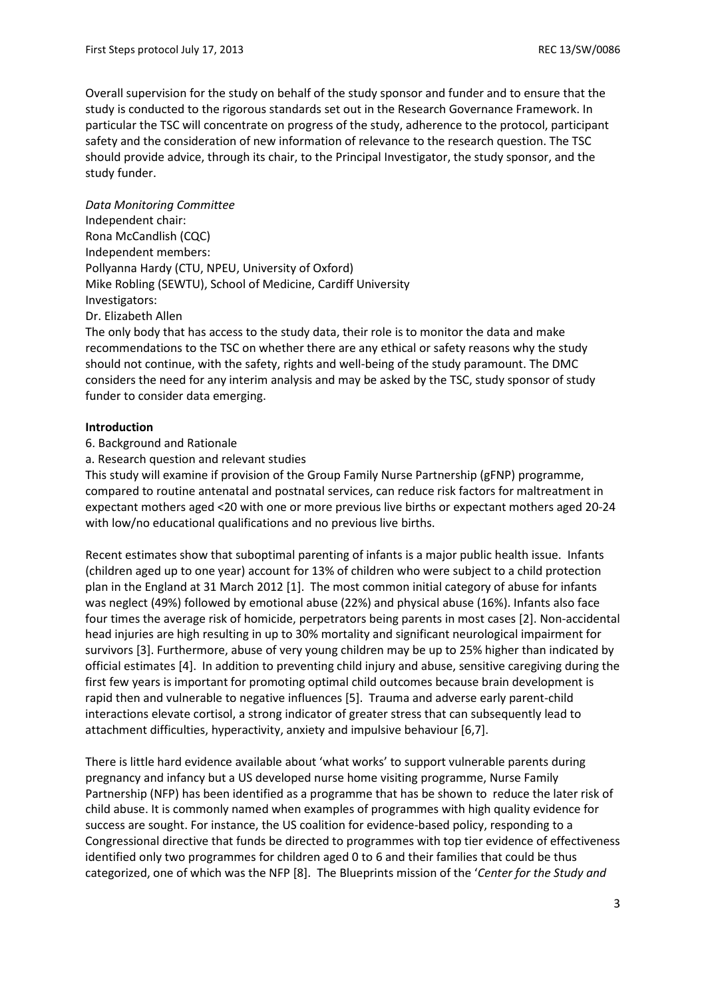Overall supervision for the study on behalf of the study sponsor and funder and to ensure that the study is conducted to the rigorous standards set out in the Research Governance Framework. In particular the TSC will concentrate on progress of the study, adherence to the protocol, participant safety and the consideration of new information of relevance to the research question. The TSC should provide advice, through its chair, to the Principal Investigator, the study sponsor, and the study funder.

*Data Monitoring Committee* Independent chair: Rona McCandlish (CQC) Independent members: Pollyanna Hardy (CTU, NPEU, University of Oxford) Mike Robling (SEWTU), School of Medicine, Cardiff University Investigators: Dr. Elizabeth Allen

The only body that has access to the study data, their role is to monitor the data and make recommendations to the TSC on whether there are any ethical or safety reasons why the study should not continue, with the safety, rights and well-being of the study paramount. The DMC considers the need for any interim analysis and may be asked by the TSC, study sponsor of study funder to consider data emerging.

# **Introduction**

6. Background and Rationale

a. Research question and relevant studies

This study will examine if provision of the Group Family Nurse Partnership (gFNP) programme, compared to routine antenatal and postnatal services, can reduce risk factors for maltreatment in expectant mothers aged <20 with one or more previous live births or expectant mothers aged 20-24 with low/no educational qualifications and no previous live births.

Recent estimates show that suboptimal parenting of infants is a major public health issue. Infants (children aged up to one year) account for 13% of children who were subject to a child protection plan in the England at 31 March 2012 [1]. The most common initial category of abuse for infants was neglect (49%) followed by emotional abuse (22%) and physical abuse (16%). Infants also face four times the average risk of homicide, perpetrators being parents in most cases [2]. Non-accidental head injuries are high resulting in up to 30% mortality and significant neurological impairment for survivors [3]. Furthermore, abuse of very young children may be up to 25% higher than indicated by official estimates [4]. In addition to preventing child injury and abuse, sensitive caregiving during the first few years is important for promoting optimal child outcomes because brain development is rapid then and vulnerable to negative influences [5]. Trauma and adverse early parent-child interactions elevate cortisol, a strong indicator of greater stress that can subsequently lead to attachment difficulties, hyperactivity, anxiety and impulsive behaviour [6,7].

There is little hard evidence available about 'what works' to support vulnerable parents during pregnancy and infancy but a US developed nurse home visiting programme, Nurse Family Partnership (NFP) has been identified as a programme that has be shown to reduce the later risk of child abuse. It is commonly named when examples of programmes with high quality evidence for success are sought. For instance, the US coalition for evidence-based policy, responding to a Congressional directive that funds be directed to programmes with top tier evidence of effectiveness identified only two programmes for children aged 0 to 6 and their families that could be thus categorized, one of which was the NFP [8]. The Blueprints mission of the '*Center for the Study and*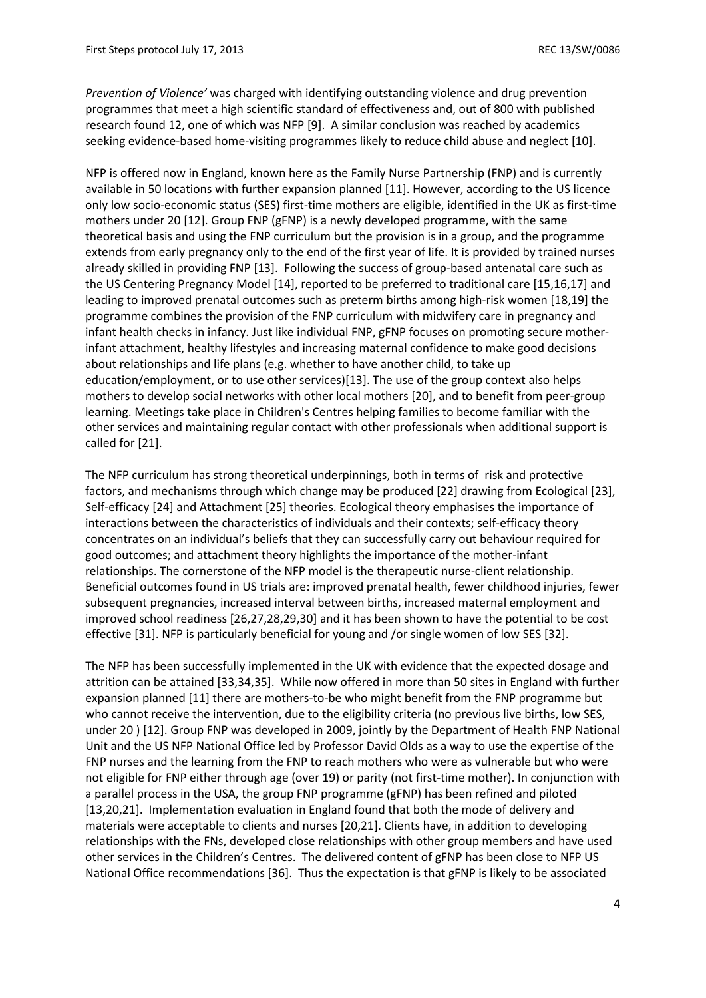*Prevention of Violence'* was charged with identifying outstanding violence and drug prevention programmes that meet a high scientific standard of effectiveness and, out of 800 with published research found 12, one of which was NFP [9]. A similar conclusion was reached by academics seeking evidence-based home-visiting programmes likely to reduce child abuse and neglect [10].

NFP is offered now in England, known here as the Family Nurse Partnership (FNP) and is currently available in 50 locations with further expansion planned [11]. However, according to the US licence only low socio-economic status (SES) first-time mothers are eligible, identified in the UK as first-time mothers under 20 [12]. Group FNP (gFNP) is a newly developed programme, with the same theoretical basis and using the FNP curriculum but the provision is in a group, and the programme extends from early pregnancy only to the end of the first year of life. It is provided by trained nurses already skilled in providing FNP [13]. Following the success of group-based antenatal care such as the US Centering Pregnancy Model [14], reported to be preferred to traditional care [15,16,17] and leading to improved prenatal outcomes such as preterm births among high-risk women [18,19] the programme combines the provision of the FNP curriculum with midwifery care in pregnancy and infant health checks in infancy. Just like individual FNP, gFNP focuses on promoting secure motherinfant attachment, healthy lifestyles and increasing maternal confidence to make good decisions about relationships and life plans (e.g. whether to have another child, to take up education/employment, or to use other services)[13]. The use of the group context also helps mothers to develop social networks with other local mothers [20], and to benefit from peer-group learning. Meetings take place in Children's Centres helping families to become familiar with the other services and maintaining regular contact with other professionals when additional support is called for [21].

The NFP curriculum has strong theoretical underpinnings, both in terms of risk and protective factors, and mechanisms through which change may be produced [22] drawing from Ecological [23], Self-efficacy [24] and Attachment [25] theories. Ecological theory emphasises the importance of interactions between the characteristics of individuals and their contexts; self-efficacy theory concentrates on an individual's beliefs that they can successfully carry out behaviour required for good outcomes; and attachment theory highlights the importance of the mother-infant relationships. The cornerstone of the NFP model is the therapeutic nurse-client relationship. Beneficial outcomes found in US trials are: improved prenatal health, fewer childhood injuries, fewer subsequent pregnancies, increased interval between births, increased maternal employment and improved school readiness [26,27,28,29,30] and it has been shown to have the potential to be cost effective [31]. NFP is particularly beneficial for young and /or single women of low SES [32].

The NFP has been successfully implemented in the UK with evidence that the expected dosage and attrition can be attained [33,34,35]. While now offered in more than 50 sites in England with further expansion planned [11] there are mothers-to-be who might benefit from the FNP programme but who cannot receive the intervention, due to the eligibility criteria (no previous live births, low SES, under 20 ) [12]. Group FNP was developed in 2009, jointly by the Department of Health FNP National Unit and the US NFP National Office led by Professor David Olds as a way to use the expertise of the FNP nurses and the learning from the FNP to reach mothers who were as vulnerable but who were not eligible for FNP either through age (over 19) or parity (not first-time mother). In conjunction with a parallel process in the USA, the group FNP programme (gFNP) has been refined and piloted [13,20,21]. Implementation evaluation in England found that both the mode of delivery and materials were acceptable to clients and nurses [20,21]. Clients have, in addition to developing relationships with the FNs, developed close relationships with other group members and have used other services in the Children's Centres. The delivered content of gFNP has been close to NFP US National Office recommendations [36]. Thus the expectation is that gFNP is likely to be associated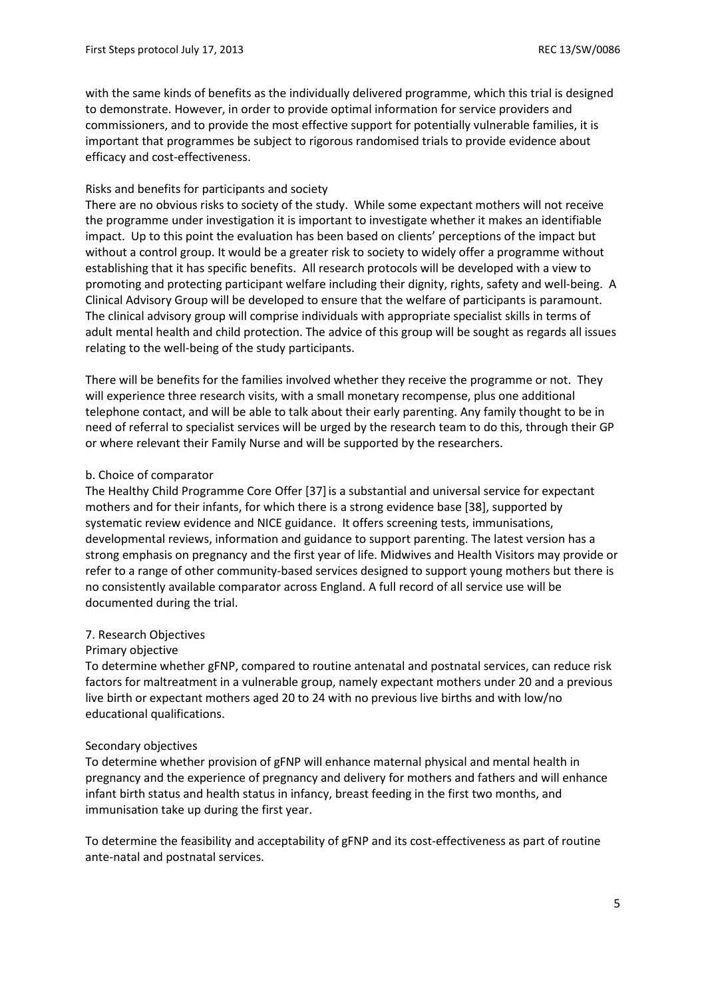with the same kinds of benefits as the individually delivered programme, which this trial is designed to demonstrate. However, in order to provide optimal information for service providers and commissioners, and to provide the most effective support for potentially vulnerable families, it is important that programmes be subject to rigorous randomised trials to provide evidence about efficacy and cost-effectiveness.

# Risks and benefits for participants and society

There are no obvious risks to society of the study. While some expectant mothers will not receive the programme under investigation it is important to investigate whether it makes an identifiable impact. Up to this point the evaluation has been based on clients' perceptions of the impact but without a control group. It would be a greater risk to society to widely offer a programme without establishing that it has specific benefits. All research protocols will be developed with a view to promoting and protecting participant welfare including their dignity, rights, safety and well-being. A Clinical Advisory Group will be developed to ensure that the welfare of participants is paramount. The clinical advisory group will comprise individuals with appropriate specialist skills in terms of adult mental health and child protection. The advice of this group will be sought as regards all issues relating to the well-being of the study participants.

There will be benefits for the families involved whether they receive the programme or not. They will experience three research visits, with a small monetary recompense, plus one additional telephone contact, and will be able to talk about their early parenting. Any family thought to be in need of referral to specialist services will be urged by the research team to do this, through their GP or where relevant their Family Nurse and will be supported by the researchers.

# b. Choice of comparator

The Healthy Child Programme Core Offer [37]is a substantial and universal service for expectant mothers and for their infants, for which there is a strong evidence base [38], supported by systematic review evidence and NICE guidance. It offers screening tests, immunisations, developmental reviews, information and guidance to support parenting. The latest version has a strong emphasis on pregnancy and the first year of life. Midwives and Health Visitors may provide or refer to a range of other community-based services designed to support young mothers but there is no consistently available comparator across England. A full record of all service use will be documented during the trial.

# 7. Research Objectives

# Primary objective

To determine whether gFNP, compared to routine antenatal and postnatal services, can reduce risk factors for maltreatment in a vulnerable group, namely expectant mothers under 20 and a previous live birth or expectant mothers aged 20 to 24 with no previous live births and with low/no educational qualifications.

# Secondary objectives

To determine whether provision of gFNP will enhance maternal physical and mental health in pregnancy and the experience of pregnancy and delivery for mothers and fathers and will enhance infant birth status and health status in infancy, breast feeding in the first two months, and immunisation take up during the first year.

To determine the feasibility and acceptability of gFNP and its cost-effectiveness as part of routine ante-natal and postnatal services.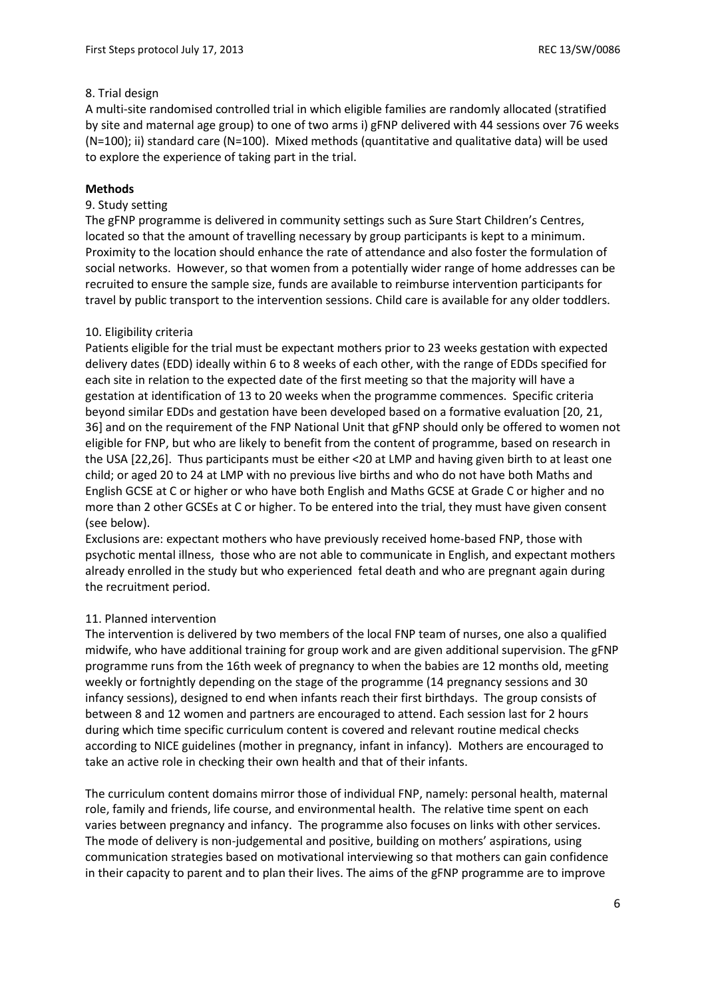# 8. Trial design

A multi-site randomised controlled trial in which eligible families are randomly allocated (stratified by site and maternal age group) to one of two arms i) gFNP delivered with 44 sessions over 76 weeks (N=100); ii) standard care (N=100). Mixed methods (quantitative and qualitative data) will be used to explore the experience of taking part in the trial.

# **Methods**

# 9. Study setting

The gFNP programme is delivered in community settings such as Sure Start Children's Centres, located so that the amount of travelling necessary by group participants is kept to a minimum. Proximity to the location should enhance the rate of attendance and also foster the formulation of social networks. However, so that women from a potentially wider range of home addresses can be recruited to ensure the sample size, funds are available to reimburse intervention participants for travel by public transport to the intervention sessions. Child care is available for any older toddlers.

# 10. Eligibility criteria

Patients eligible for the trial must be expectant mothers prior to 23 weeks gestation with expected delivery dates (EDD) ideally within 6 to 8 weeks of each other, with the range of EDDs specified for each site in relation to the expected date of the first meeting so that the majority will have a gestation at identification of 13 to 20 weeks when the programme commences. Specific criteria beyond similar EDDs and gestation have been developed based on a formative evaluation [20, 21, 36] and on the requirement of the FNP National Unit that gFNP should only be offered to women not eligible for FNP, but who are likely to benefit from the content of programme, based on research in the USA [22,26]. Thus participants must be either <20 at LMP and having given birth to at least one child; or aged 20 to 24 at LMP with no previous live births and who do not have both Maths and English GCSE at C or higher or who have both English and Maths GCSE at Grade C or higher and no more than 2 other GCSEs at C or higher. To be entered into the trial, they must have given consent (see below).

Exclusions are: expectant mothers who have previously received home-based FNP, those with psychotic mental illness, those who are not able to communicate in English, and expectant mothers already enrolled in the study but who experienced fetal death and who are pregnant again during the recruitment period.

#### 11. Planned intervention

The intervention is delivered by two members of the local FNP team of nurses, one also a qualified midwife, who have additional training for group work and are given additional supervision. The gFNP programme runs from the 16th week of pregnancy to when the babies are 12 months old, meeting weekly or fortnightly depending on the stage of the programme (14 pregnancy sessions and 30 infancy sessions), designed to end when infants reach their first birthdays. The group consists of between 8 and 12 women and partners are encouraged to attend. Each session last for 2 hours during which time specific curriculum content is covered and relevant routine medical checks according to NICE guidelines (mother in pregnancy, infant in infancy). Mothers are encouraged to take an active role in checking their own health and that of their infants.

The curriculum content domains mirror those of individual FNP, namely: personal health, maternal role, family and friends, life course, and environmental health. The relative time spent on each varies between pregnancy and infancy. The programme also focuses on links with other services. The mode of delivery is non-judgemental and positive, building on mothers' aspirations, using communication strategies based on motivational interviewing so that mothers can gain confidence in their capacity to parent and to plan their lives. The aims of the gFNP programme are to improve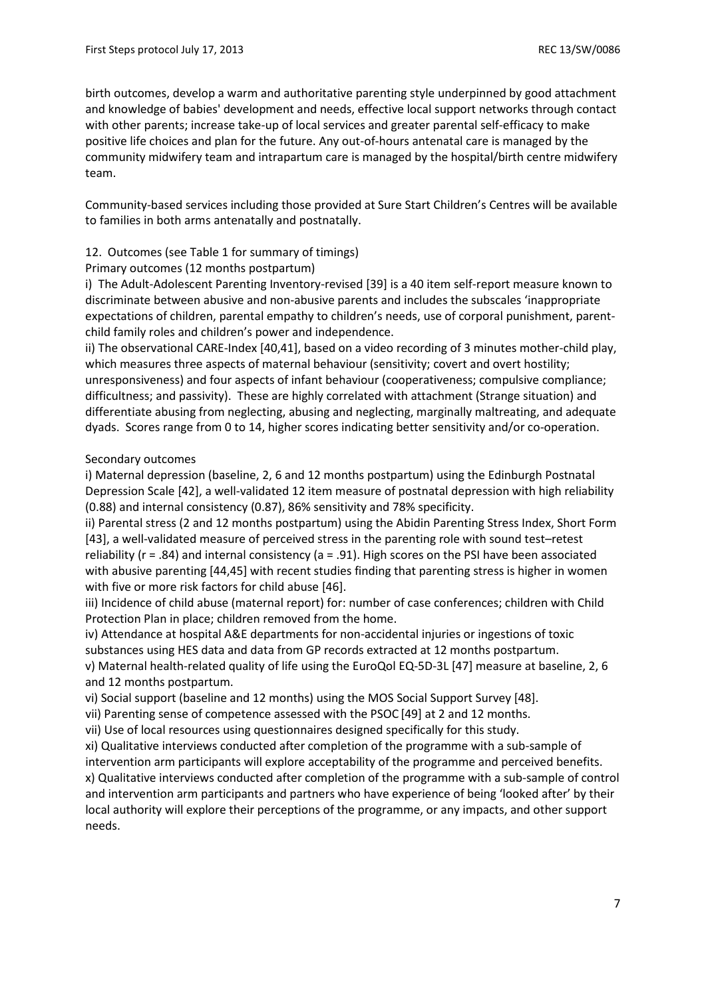birth outcomes, develop a warm and authoritative parenting style underpinned by good attachment and knowledge of babies' development and needs, effective local support networks through contact with other parents; increase take-up of local services and greater parental self-efficacy to make positive life choices and plan for the future. Any out-of-hours antenatal care is managed by the community midwifery team and intrapartum care is managed by the hospital/birth centre midwifery team.

Community-based services including those provided at Sure Start Children's Centres will be available to families in both arms antenatally and postnatally.

# 12. Outcomes (see Table 1 for summary of timings)

# Primary outcomes (12 months postpartum)

i) The Adult-Adolescent Parenting Inventory-revised [39] is a 40 item self-report measure known to discriminate between abusive and non-abusive parents and includes the subscales 'inappropriate expectations of children, parental empathy to children's needs, use of corporal punishment, parentchild family roles and children's power and independence.

ii) The observational CARE-Index [40,41], based on a video recording of 3 minutes mother-child play, which measures three aspects of maternal behaviour (sensitivity; covert and overt hostility; unresponsiveness) and four aspects of infant behaviour (cooperativeness; compulsive compliance; difficultness; and passivity). These are highly correlated with attachment (Strange situation) and differentiate abusing from neglecting, abusing and neglecting, marginally maltreating, and adequate dyads. Scores range from 0 to 14, higher scores indicating better sensitivity and/or co-operation.

#### Secondary outcomes

i) Maternal depression (baseline, 2, 6 and 12 months postpartum) using the Edinburgh Postnatal Depression Scale [42], a well-validated 12 item measure of postnatal depression with high reliability (0.88) and internal consistency (0.87), 86% sensitivity and 78% specificity.

ii) Parental stress (2 and 12 months postpartum) using the Abidin Parenting Stress Index, Short Form [43], a well-validated measure of perceived stress in the parenting role with sound test–retest reliability ( $r = .84$ ) and internal consistency ( $a = .91$ ). High scores on the PSI have been associated with abusive parenting [44,45] with recent studies finding that parenting stress is higher in women with five or more risk factors for child abuse [46].

iii) Incidence of child abuse (maternal report) for: number of case conferences; children with Child Protection Plan in place; children removed from the home.

iv) Attendance at hospital A&E departments for non-accidental injuries or ingestions of toxic substances using HES data and data from GP records extracted at 12 months postpartum. v) Maternal health-related quality of life using the EuroQol EQ-5D-3L [47] measure at baseline, 2, 6

# and 12 months postpartum.

vi) Social support (baseline and 12 months) using the MOS Social Support Survey [48].

vii) Parenting sense of competence assessed with the PSOC [49] at 2 and 12 months.

vii) Use of local resources using questionnaires designed specifically for this study.

xi) Qualitative interviews conducted after completion of the programme with a sub-sample of intervention arm participants will explore acceptability of the programme and perceived benefits. x) Qualitative interviews conducted after completion of the programme with a sub-sample of control and intervention arm participants and partners who have experience of being 'looked after' by their local authority will explore their perceptions of the programme, or any impacts, and other support needs.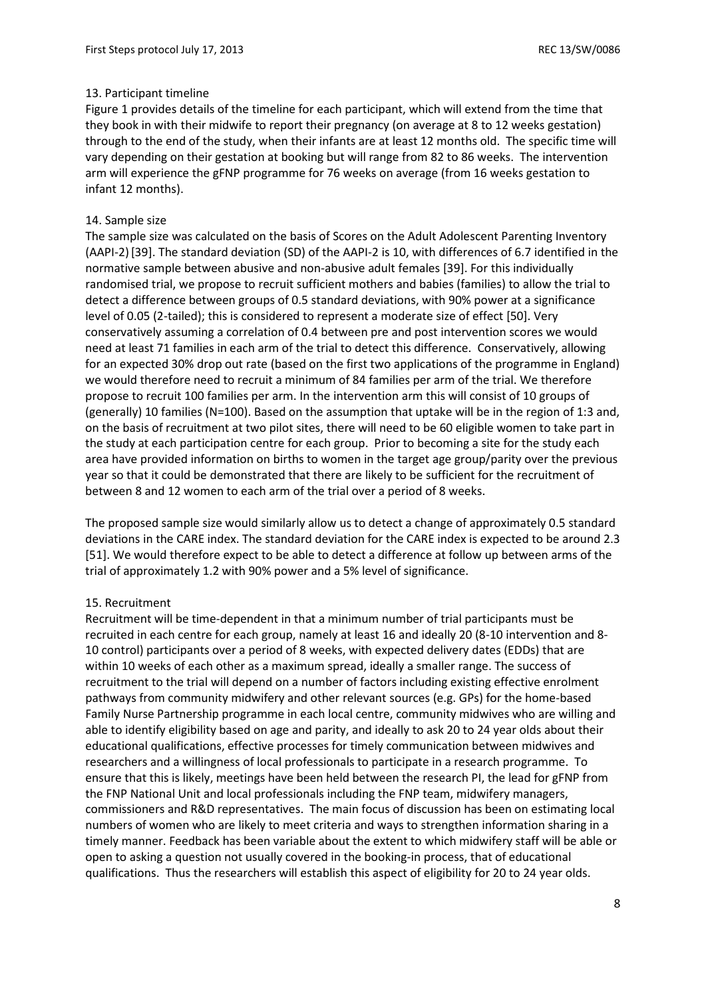# 13. Participant timeline

Figure 1 provides details of the timeline for each participant, which will extend from the time that they book in with their midwife to report their pregnancy (on average at 8 to 12 weeks gestation) through to the end of the study, when their infants are at least 12 months old. The specific time will vary depending on their gestation at booking but will range from 82 to 86 weeks. The intervention arm will experience the gFNP programme for 76 weeks on average (from 16 weeks gestation to infant 12 months).

# 14. Sample size

The sample size was calculated on the basis of Scores on the Adult Adolescent Parenting Inventory (AAPI-2)[39]. The standard deviation (SD) of the AAPI-2 is 10, with differences of 6.7 identified in the normative sample between abusive and non-abusive adult females [39]. For this individually randomised trial, we propose to recruit sufficient mothers and babies (families) to allow the trial to detect a difference between groups of 0.5 standard deviations, with 90% power at a significance level of 0.05 (2-tailed); this is considered to represent a moderate size of effect [50]. Very conservatively assuming a correlation of 0.4 between pre and post intervention scores we would need at least 71 families in each arm of the trial to detect this difference. Conservatively, allowing for an expected 30% drop out rate (based on the first two applications of the programme in England) we would therefore need to recruit a minimum of 84 families per arm of the trial. We therefore propose to recruit 100 families per arm. In the intervention arm this will consist of 10 groups of (generally) 10 families (N=100). Based on the assumption that uptake will be in the region of 1:3 and, on the basis of recruitment at two pilot sites, there will need to be 60 eligible women to take part in the study at each participation centre for each group. Prior to becoming a site for the study each area have provided information on births to women in the target age group/parity over the previous year so that it could be demonstrated that there are likely to be sufficient for the recruitment of between 8 and 12 women to each arm of the trial over a period of 8 weeks.

The proposed sample size would similarly allow us to detect a change of approximately 0.5 standard deviations in the CARE index. The standard deviation for the CARE index is expected to be around 2.3 [51]. We would therefore expect to be able to detect a difference at follow up between arms of the trial of approximately 1.2 with 90% power and a 5% level of significance.

#### 15. Recruitment

Recruitment will be time-dependent in that a minimum number of trial participants must be recruited in each centre for each group, namely at least 16 and ideally 20 (8-10 intervention and 8- 10 control) participants over a period of 8 weeks, with expected delivery dates (EDDs) that are within 10 weeks of each other as a maximum spread, ideally a smaller range. The success of recruitment to the trial will depend on a number of factors including existing effective enrolment pathways from community midwifery and other relevant sources (e.g. GPs) for the home-based Family Nurse Partnership programme in each local centre, community midwives who are willing and able to identify eligibility based on age and parity, and ideally to ask 20 to 24 year olds about their educational qualifications, effective processes for timely communication between midwives and researchers and a willingness of local professionals to participate in a research programme. To ensure that this is likely, meetings have been held between the research PI, the lead for gFNP from the FNP National Unit and local professionals including the FNP team, midwifery managers, commissioners and R&D representatives. The main focus of discussion has been on estimating local numbers of women who are likely to meet criteria and ways to strengthen information sharing in a timely manner. Feedback has been variable about the extent to which midwifery staff will be able or open to asking a question not usually covered in the booking-in process, that of educational qualifications. Thus the researchers will establish this aspect of eligibility for 20 to 24 year olds.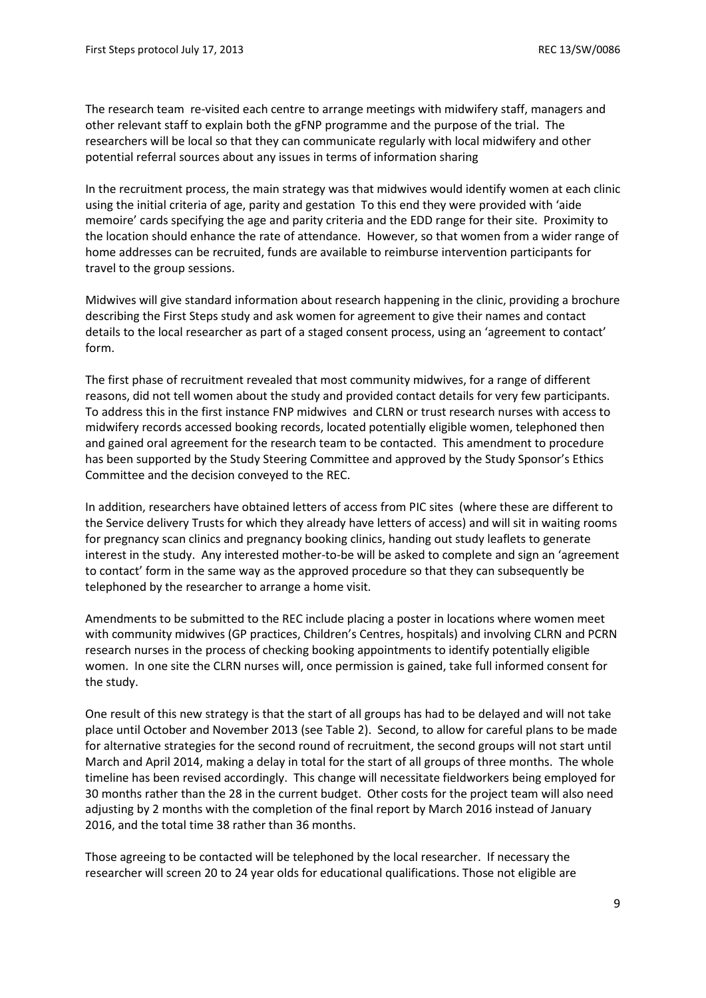The research team re-visited each centre to arrange meetings with midwifery staff, managers and other relevant staff to explain both the gFNP programme and the purpose of the trial. The researchers will be local so that they can communicate regularly with local midwifery and other potential referral sources about any issues in terms of information sharing

In the recruitment process, the main strategy was that midwives would identify women at each clinic using the initial criteria of age, parity and gestation To this end they were provided with 'aide memoire' cards specifying the age and parity criteria and the EDD range for their site. Proximity to the location should enhance the rate of attendance. However, so that women from a wider range of home addresses can be recruited, funds are available to reimburse intervention participants for travel to the group sessions.

Midwives will give standard information about research happening in the clinic, providing a brochure describing the First Steps study and ask women for agreement to give their names and contact details to the local researcher as part of a staged consent process, using an 'agreement to contact' form.

The first phase of recruitment revealed that most community midwives, for a range of different reasons, did not tell women about the study and provided contact details for very few participants. To address this in the first instance FNP midwives and CLRN or trust research nurses with access to midwifery records accessed booking records, located potentially eligible women, telephoned then and gained oral agreement for the research team to be contacted. This amendment to procedure has been supported by the Study Steering Committee and approved by the Study Sponsor's Ethics Committee and the decision conveyed to the REC.

In addition, researchers have obtained letters of access from PIC sites (where these are different to the Service delivery Trusts for which they already have letters of access) and will sit in waiting rooms for pregnancy scan clinics and pregnancy booking clinics, handing out study leaflets to generate interest in the study. Any interested mother-to-be will be asked to complete and sign an 'agreement to contact' form in the same way as the approved procedure so that they can subsequently be telephoned by the researcher to arrange a home visit.

Amendments to be submitted to the REC include placing a poster in locations where women meet with community midwives (GP practices, Children's Centres, hospitals) and involving CLRN and PCRN research nurses in the process of checking booking appointments to identify potentially eligible women. In one site the CLRN nurses will, once permission is gained, take full informed consent for the study.

One result of this new strategy is that the start of all groups has had to be delayed and will not take place until October and November 2013 (see Table 2). Second, to allow for careful plans to be made for alternative strategies for the second round of recruitment, the second groups will not start until March and April 2014, making a delay in total for the start of all groups of three months. The whole timeline has been revised accordingly. This change will necessitate fieldworkers being employed for 30 months rather than the 28 in the current budget. Other costs for the project team will also need adjusting by 2 months with the completion of the final report by March 2016 instead of January 2016, and the total time 38 rather than 36 months.

Those agreeing to be contacted will be telephoned by the local researcher. If necessary the researcher will screen 20 to 24 year olds for educational qualifications. Those not eligible are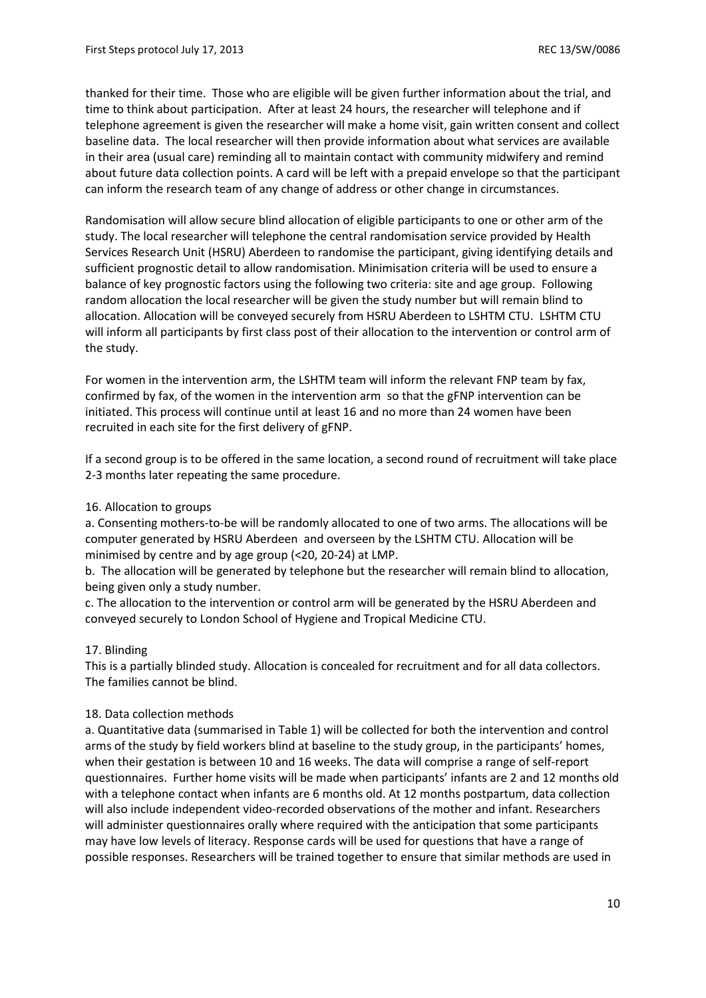thanked for their time. Those who are eligible will be given further information about the trial, and time to think about participation. After at least 24 hours, the researcher will telephone and if telephone agreement is given the researcher will make a home visit, gain written consent and collect baseline data. The local researcher will then provide information about what services are available in their area (usual care) reminding all to maintain contact with community midwifery and remind about future data collection points. A card will be left with a prepaid envelope so that the participant can inform the research team of any change of address or other change in circumstances.

Randomisation will allow secure blind allocation of eligible participants to one or other arm of the study. The local researcher will telephone the central randomisation service provided by Health Services Research Unit (HSRU) Aberdeen to randomise the participant, giving identifying details and sufficient prognostic detail to allow randomisation. Minimisation criteria will be used to ensure a balance of key prognostic factors using the following two criteria: site and age group. Following random allocation the local researcher will be given the study number but will remain blind to allocation. Allocation will be conveyed securely from HSRU Aberdeen to LSHTM CTU. LSHTM CTU will inform all participants by first class post of their allocation to the intervention or control arm of the study.

For women in the intervention arm, the LSHTM team will inform the relevant FNP team by fax, confirmed by fax, of the women in the intervention arm so that the gFNP intervention can be initiated. This process will continue until at least 16 and no more than 24 women have been recruited in each site for the first delivery of gFNP.

If a second group is to be offered in the same location, a second round of recruitment will take place 2-3 months later repeating the same procedure.

# 16. Allocation to groups

a. Consenting mothers-to-be will be randomly allocated to one of two arms. The allocations will be computer generated by HSRU Aberdeen and overseen by the LSHTM CTU. Allocation will be minimised by centre and by age group (<20, 20-24) at LMP.

b. The allocation will be generated by telephone but the researcher will remain blind to allocation, being given only a study number.

c. The allocation to the intervention or control arm will be generated by the HSRU Aberdeen and conveyed securely to London School of Hygiene and Tropical Medicine CTU.

# 17. Blinding

This is a partially blinded study. Allocation is concealed for recruitment and for all data collectors. The families cannot be blind.

# 18. Data collection methods

a. Quantitative data (summarised in Table 1) will be collected for both the intervention and control arms of the study by field workers blind at baseline to the study group, in the participants' homes, when their gestation is between 10 and 16 weeks. The data will comprise a range of self-report questionnaires. Further home visits will be made when participants' infants are 2 and 12 months old with a telephone contact when infants are 6 months old. At 12 months postpartum, data collection will also include independent video-recorded observations of the mother and infant. Researchers will administer questionnaires orally where required with the anticipation that some participants may have low levels of literacy. Response cards will be used for questions that have a range of possible responses. Researchers will be trained together to ensure that similar methods are used in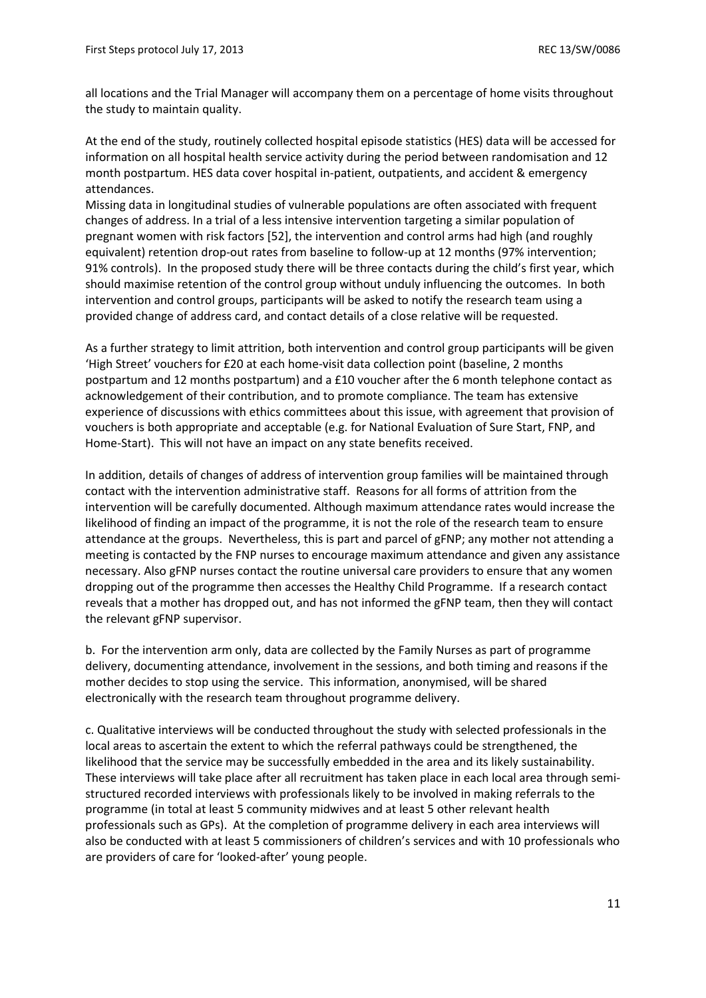all locations and the Trial Manager will accompany them on a percentage of home visits throughout the study to maintain quality.

At the end of the study, routinely collected hospital episode statistics (HES) data will be accessed for information on all hospital health service activity during the period between randomisation and 12 month postpartum. HES data cover hospital in-patient, outpatients, and accident & emergency attendances.

Missing data in longitudinal studies of vulnerable populations are often associated with frequent changes of address. In a trial of a less intensive intervention targeting a similar population of pregnant women with risk factors [52], the intervention and control arms had high (and roughly equivalent) retention drop-out rates from baseline to follow-up at 12 months (97% intervention; 91% controls). In the proposed study there will be three contacts during the child's first year, which should maximise retention of the control group without unduly influencing the outcomes. In both intervention and control groups, participants will be asked to notify the research team using a provided change of address card, and contact details of a close relative will be requested.

As a further strategy to limit attrition, both intervention and control group participants will be given 'High Street' vouchers for £20 at each home-visit data collection point (baseline, 2 months postpartum and 12 months postpartum) and a £10 voucher after the 6 month telephone contact as acknowledgement of their contribution, and to promote compliance. The team has extensive experience of discussions with ethics committees about this issue, with agreement that provision of vouchers is both appropriate and acceptable (e.g. for National Evaluation of Sure Start, FNP, and Home-Start). This will not have an impact on any state benefits received.

In addition, details of changes of address of intervention group families will be maintained through contact with the intervention administrative staff. Reasons for all forms of attrition from the intervention will be carefully documented. Although maximum attendance rates would increase the likelihood of finding an impact of the programme, it is not the role of the research team to ensure attendance at the groups. Nevertheless, this is part and parcel of gFNP; any mother not attending a meeting is contacted by the FNP nurses to encourage maximum attendance and given any assistance necessary. Also gFNP nurses contact the routine universal care providers to ensure that any women dropping out of the programme then accesses the Healthy Child Programme. If a research contact reveals that a mother has dropped out, and has not informed the gFNP team, then they will contact the relevant gFNP supervisor.

b. For the intervention arm only, data are collected by the Family Nurses as part of programme delivery, documenting attendance, involvement in the sessions, and both timing and reasons if the mother decides to stop using the service. This information, anonymised, will be shared electronically with the research team throughout programme delivery.

c. Qualitative interviews will be conducted throughout the study with selected professionals in the local areas to ascertain the extent to which the referral pathways could be strengthened, the likelihood that the service may be successfully embedded in the area and its likely sustainability. These interviews will take place after all recruitment has taken place in each local area through semistructured recorded interviews with professionals likely to be involved in making referrals to the programme (in total at least 5 community midwives and at least 5 other relevant health professionals such as GPs). At the completion of programme delivery in each area interviews will also be conducted with at least 5 commissioners of children's services and with 10 professionals who are providers of care for 'looked-after' young people.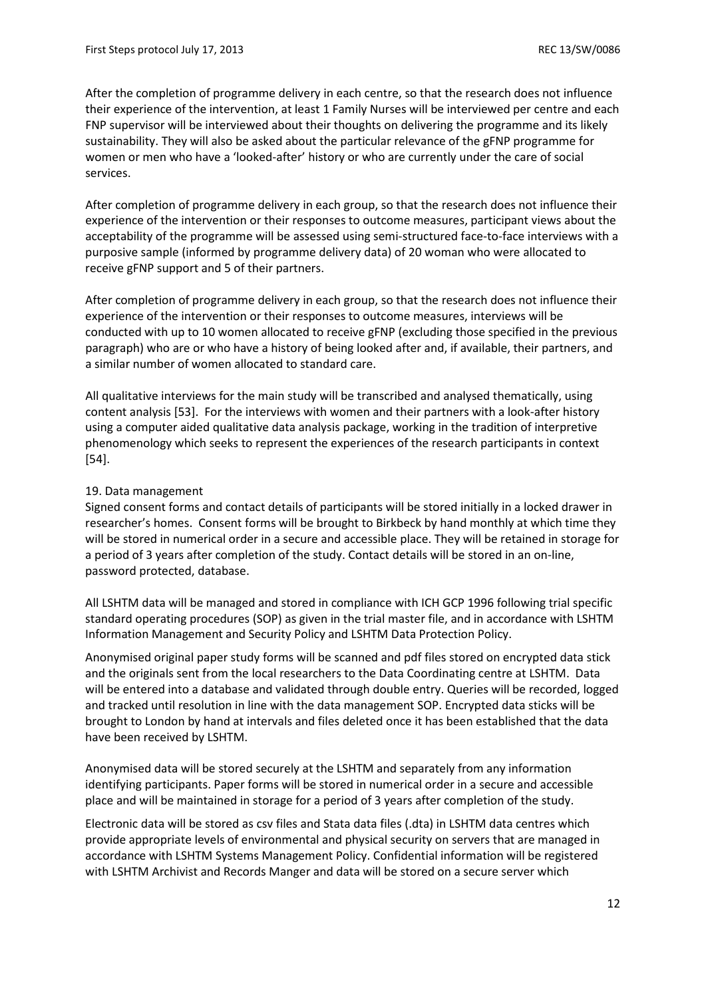After the completion of programme delivery in each centre, so that the research does not influence their experience of the intervention, at least 1 Family Nurses will be interviewed per centre and each FNP supervisor will be interviewed about their thoughts on delivering the programme and its likely sustainability. They will also be asked about the particular relevance of the gFNP programme for women or men who have a 'looked-after' history or who are currently under the care of social services.

After completion of programme delivery in each group, so that the research does not influence their experience of the intervention or their responses to outcome measures, participant views about the acceptability of the programme will be assessed using semi-structured face-to-face interviews with a purposive sample (informed by programme delivery data) of 20 woman who were allocated to receive gFNP support and 5 of their partners.

After completion of programme delivery in each group, so that the research does not influence their experience of the intervention or their responses to outcome measures, interviews will be conducted with up to 10 women allocated to receive gFNP (excluding those specified in the previous paragraph) who are or who have a history of being looked after and, if available, their partners, and a similar number of women allocated to standard care.

All qualitative interviews for the main study will be transcribed and analysed thematically, using content analysis [53]. For the interviews with women and their partners with a look-after history using a computer aided qualitative data analysis package, working in the tradition of interpretive phenomenology which seeks to represent the experiences of the research participants in context [54].

# 19. Data management

Signed consent forms and contact details of participants will be stored initially in a locked drawer in researcher's homes. Consent forms will be brought to Birkbeck by hand monthly at which time they will be stored in numerical order in a secure and accessible place. They will be retained in storage for a period of 3 years after completion of the study. Contact details will be stored in an on-line, password protected, database.

All LSHTM data will be managed and stored in compliance with ICH GCP 1996 following trial specific standard operating procedures (SOP) as given in the trial master file, and in accordance with LSHTM Information Management and Security Policy and LSHTM Data Protection Policy.

Anonymised original paper study forms will be scanned and pdf files stored on encrypted data stick and the originals sent from the local researchers to the Data Coordinating centre at LSHTM. Data will be entered into a database and validated through double entry. Queries will be recorded, logged and tracked until resolution in line with the data management SOP. Encrypted data sticks will be brought to London by hand at intervals and files deleted once it has been established that the data have been received by LSHTM.

Anonymised data will be stored securely at the LSHTM and separately from any information identifying participants. Paper forms will be stored in numerical order in a secure and accessible place and will be maintained in storage for a period of 3 years after completion of the study.

Electronic data will be stored as csv files and Stata data files (.dta) in LSHTM data centres which provide appropriate levels of environmental and physical security on servers that are managed in accordance with LSHTM Systems Management Policy. Confidential information will be registered with LSHTM Archivist and Records Manger and data will be stored on a secure server which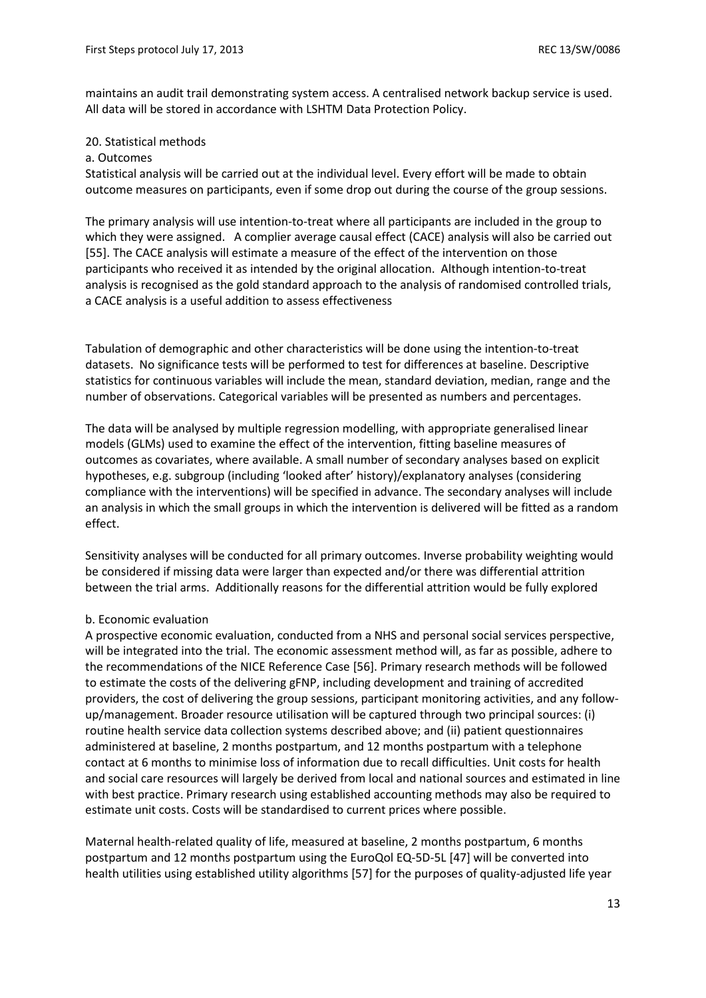maintains an audit trail demonstrating system access. A centralised network backup service is used. All data will be stored in accordance with LSHTM Data Protection Policy.

#### 20. Statistical methods

#### a. Outcomes

Statistical analysis will be carried out at the individual level. Every effort will be made to obtain outcome measures on participants, even if some drop out during the course of the group sessions.

The primary analysis will use intention-to-treat where all participants are included in the group to which they were assigned. A complier average causal effect (CACE) analysis will also be carried out [55]. The CACE analysis will estimate a measure of the effect of the intervention on those participants who received it as intended by the original allocation. Although intention-to-treat analysis is recognised as the gold standard approach to the analysis of randomised controlled trials, a CACE analysis is a useful addition to assess effectiveness

Tabulation of demographic and other characteristics will be done using the intention-to-treat datasets. No significance tests will be performed to test for differences at baseline. Descriptive statistics for continuous variables will include the mean, standard deviation, median, range and the number of observations. Categorical variables will be presented as numbers and percentages.

The data will be analysed by multiple regression modelling, with appropriate generalised linear models (GLMs) used to examine the effect of the intervention, fitting baseline measures of outcomes as covariates, where available. A small number of secondary analyses based on explicit hypotheses, e.g. subgroup (including 'looked after' history)/explanatory analyses (considering compliance with the interventions) will be specified in advance. The secondary analyses will include an analysis in which the small groups in which the intervention is delivered will be fitted as a random effect.

Sensitivity analyses will be conducted for all primary outcomes. Inverse probability weighting would be considered if missing data were larger than expected and/or there was differential attrition between the trial arms. Additionally reasons for the differential attrition would be fully explored

#### b. Economic evaluation

A prospective economic evaluation, conducted from a NHS and personal social services perspective, will be integrated into the trial. The economic assessment method will, as far as possible, adhere to the recommendations of the NICE Reference Case [56]. Primary research methods will be followed to estimate the costs of the delivering gFNP, including development and training of accredited providers, the cost of delivering the group sessions, participant monitoring activities, and any followup/management. Broader resource utilisation will be captured through two principal sources: (i) routine health service data collection systems described above; and (ii) patient questionnaires administered at baseline, 2 months postpartum, and 12 months postpartum with a telephone contact at 6 months to minimise loss of information due to recall difficulties. Unit costs for health and social care resources will largely be derived from local and national sources and estimated in line with best practice. Primary research using established accounting methods may also be required to estimate unit costs. Costs will be standardised to current prices where possible.

Maternal health-related quality of life, measured at baseline, 2 months postpartum, 6 months postpartum and 12 months postpartum using the EuroQol EQ-5D-5L [47] will be converted into health utilities using established utility algorithms [57] for the purposes of quality-adjusted life year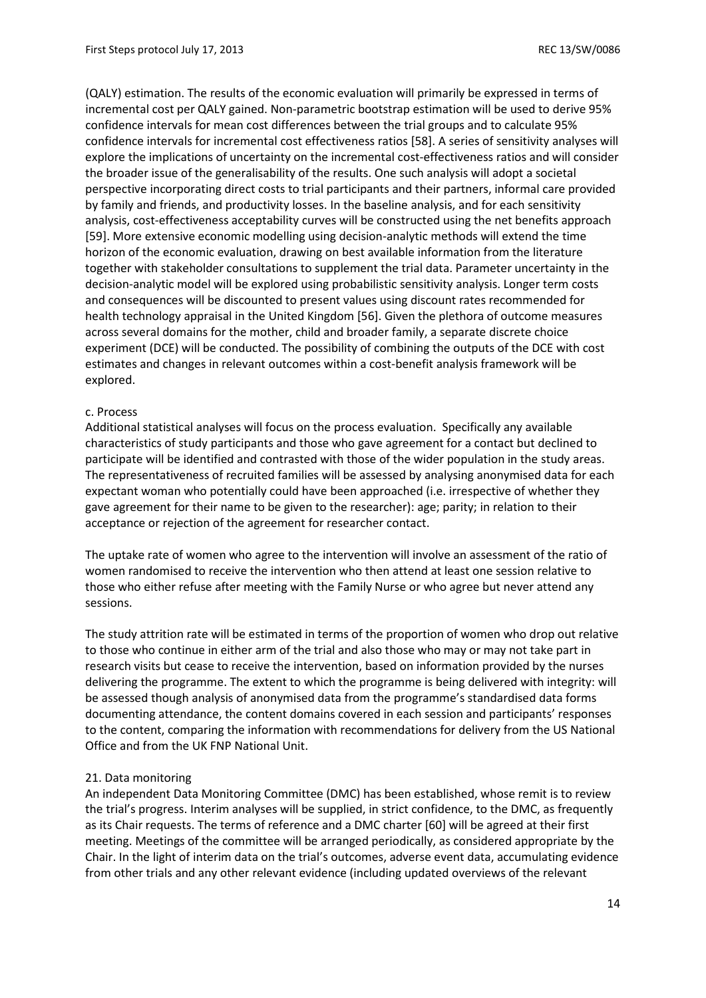(QALY) estimation. The results of the economic evaluation will primarily be expressed in terms of incremental cost per QALY gained. Non-parametric bootstrap estimation will be used to derive 95% confidence intervals for mean cost differences between the trial groups and to calculate 95% confidence intervals for incremental cost effectiveness ratios [58]. A series of sensitivity analyses will explore the implications of uncertainty on the incremental cost-effectiveness ratios and will consider the broader issue of the generalisability of the results. One such analysis will adopt a societal perspective incorporating direct costs to trial participants and their partners, informal care provided by family and friends, and productivity losses. In the baseline analysis, and for each sensitivity analysis, cost-effectiveness acceptability curves will be constructed using the net benefits approach [59]. More extensive economic modelling using decision-analytic methods will extend the time horizon of the economic evaluation, drawing on best available information from the literature together with stakeholder consultations to supplement the trial data. Parameter uncertainty in the decision-analytic model will be explored using probabilistic sensitivity analysis. Longer term costs and consequences will be discounted to present values using discount rates recommended for health technology appraisal in the United Kingdom [56]. Given the plethora of outcome measures across several domains for the mother, child and broader family, a separate discrete choice experiment (DCE) will be conducted. The possibility of combining the outputs of the DCE with cost estimates and changes in relevant outcomes within a cost-benefit analysis framework will be explored.

#### c. Process

Additional statistical analyses will focus on the process evaluation. Specifically any available characteristics of study participants and those who gave agreement for a contact but declined to participate will be identified and contrasted with those of the wider population in the study areas. The representativeness of recruited families will be assessed by analysing anonymised data for each expectant woman who potentially could have been approached (i.e. irrespective of whether they gave agreement for their name to be given to the researcher): age; parity; in relation to their acceptance or rejection of the agreement for researcher contact.

The uptake rate of women who agree to the intervention will involve an assessment of the ratio of women randomised to receive the intervention who then attend at least one session relative to those who either refuse after meeting with the Family Nurse or who agree but never attend any sessions.

The study attrition rate will be estimated in terms of the proportion of women who drop out relative to those who continue in either arm of the trial and also those who may or may not take part in research visits but cease to receive the intervention, based on information provided by the nurses delivering the programme. The extent to which the programme is being delivered with integrity: will be assessed though analysis of anonymised data from the programme's standardised data forms documenting attendance, the content domains covered in each session and participants' responses to the content, comparing the information with recommendations for delivery from the US National Office and from the UK FNP National Unit.

#### 21. Data monitoring

An independent Data Monitoring Committee (DMC) has been established, whose remit is to review the trial's progress. Interim analyses will be supplied, in strict confidence, to the DMC, as frequently as its Chair requests. The terms of reference and a DMC charter [60] will be agreed at their first meeting. Meetings of the committee will be arranged periodically, as considered appropriate by the Chair. In the light of interim data on the trial's outcomes, adverse event data, accumulating evidence from other trials and any other relevant evidence (including updated overviews of the relevant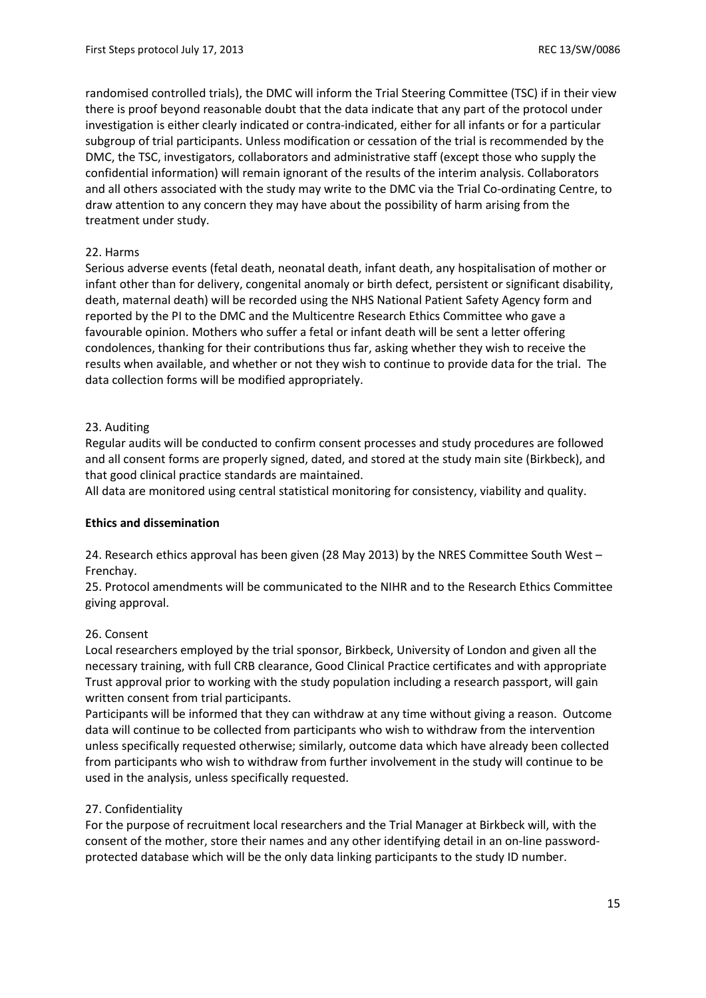randomised controlled trials), the DMC will inform the Trial Steering Committee (TSC) if in their view there is proof beyond reasonable doubt that the data indicate that any part of the protocol under investigation is either clearly indicated or contra-indicated, either for all infants or for a particular subgroup of trial participants. Unless modification or cessation of the trial is recommended by the DMC, the TSC, investigators, collaborators and administrative staff (except those who supply the confidential information) will remain ignorant of the results of the interim analysis. Collaborators and all others associated with the study may write to the DMC via the Trial Co-ordinating Centre, to draw attention to any concern they may have about the possibility of harm arising from the treatment under study.

# 22. Harms

Serious adverse events (fetal death, neonatal death, infant death, any hospitalisation of mother or infant other than for delivery, congenital anomaly or birth defect, persistent or significant disability, death, maternal death) will be recorded using the NHS National Patient Safety Agency form and reported by the PI to the DMC and the Multicentre Research Ethics Committee who gave a favourable opinion. Mothers who suffer a fetal or infant death will be sent a letter offering condolences, thanking for their contributions thus far, asking whether they wish to receive the results when available, and whether or not they wish to continue to provide data for the trial. The data collection forms will be modified appropriately.

# 23. Auditing

Regular audits will be conducted to confirm consent processes and study procedures are followed and all consent forms are properly signed, dated, and stored at the study main site (Birkbeck), and that good clinical practice standards are maintained.

All data are monitored using central statistical monitoring for consistency, viability and quality.

#### **Ethics and dissemination**

24. Research ethics approval has been given (28 May 2013) by the NRES Committee South West – Frenchay.

25. Protocol amendments will be communicated to the NIHR and to the Research Ethics Committee giving approval.

#### 26. Consent

Local researchers employed by the trial sponsor, Birkbeck, University of London and given all the necessary training, with full CRB clearance, Good Clinical Practice certificates and with appropriate Trust approval prior to working with the study population including a research passport, will gain written consent from trial participants.

Participants will be informed that they can withdraw at any time without giving a reason. Outcome data will continue to be collected from participants who wish to withdraw from the intervention unless specifically requested otherwise; similarly, outcome data which have already been collected from participants who wish to withdraw from further involvement in the study will continue to be used in the analysis, unless specifically requested.

#### 27. Confidentiality

For the purpose of recruitment local researchers and the Trial Manager at Birkbeck will, with the consent of the mother, store their names and any other identifying detail in an on-line passwordprotected database which will be the only data linking participants to the study ID number.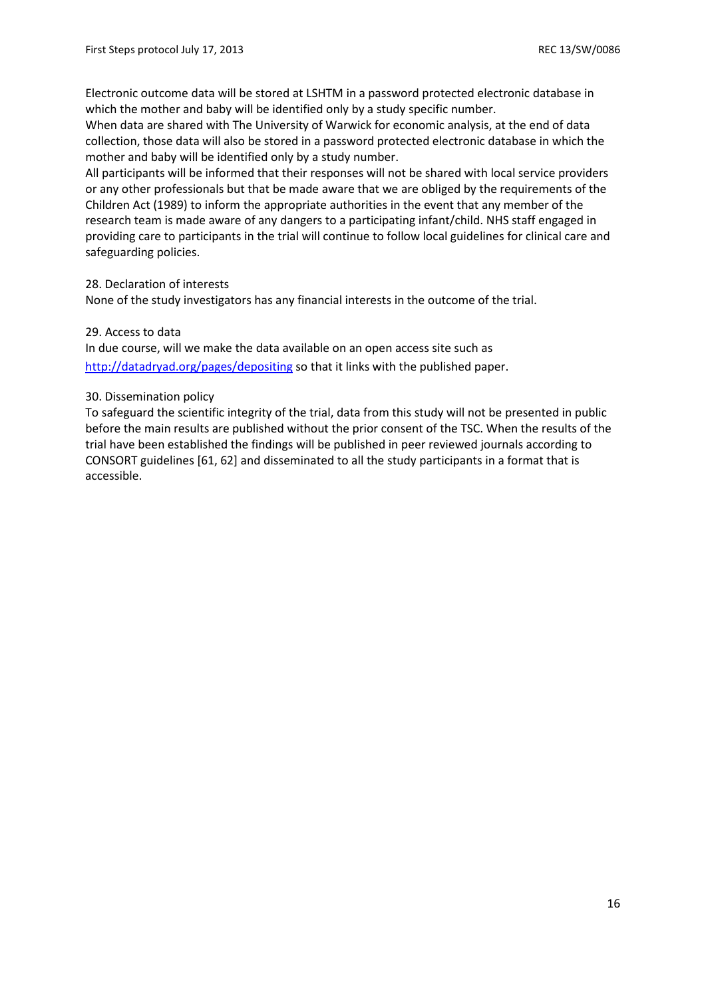Electronic outcome data will be stored at LSHTM in a password protected electronic database in which the mother and baby will be identified only by a study specific number.

When data are shared with The University of Warwick for economic analysis, at the end of data collection, those data will also be stored in a password protected electronic database in which the mother and baby will be identified only by a study number.

All participants will be informed that their responses will not be shared with local service providers or any other professionals but that be made aware that we are obliged by the requirements of the Children Act (1989) to inform the appropriate authorities in the event that any member of the research team is made aware of any dangers to a participating infant/child. NHS staff engaged in providing care to participants in the trial will continue to follow local guidelines for clinical care and safeguarding policies.

# 28. Declaration of interests

None of the study investigators has any financial interests in the outcome of the trial.

# 29. Access to data

In due course, will we make the data available on an open access site such as <http://datadryad.org/pages/depositing> so that it links with the published paper.

# 30. Dissemination policy

To safeguard the scientific integrity of the trial, data from this study will not be presented in public before the main results are published without the prior consent of the TSC. When the results of the trial have been established the findings will be published in peer reviewed journals according to CONSORT guidelines [61, 62] and disseminated to all the study participants in a format that is accessible.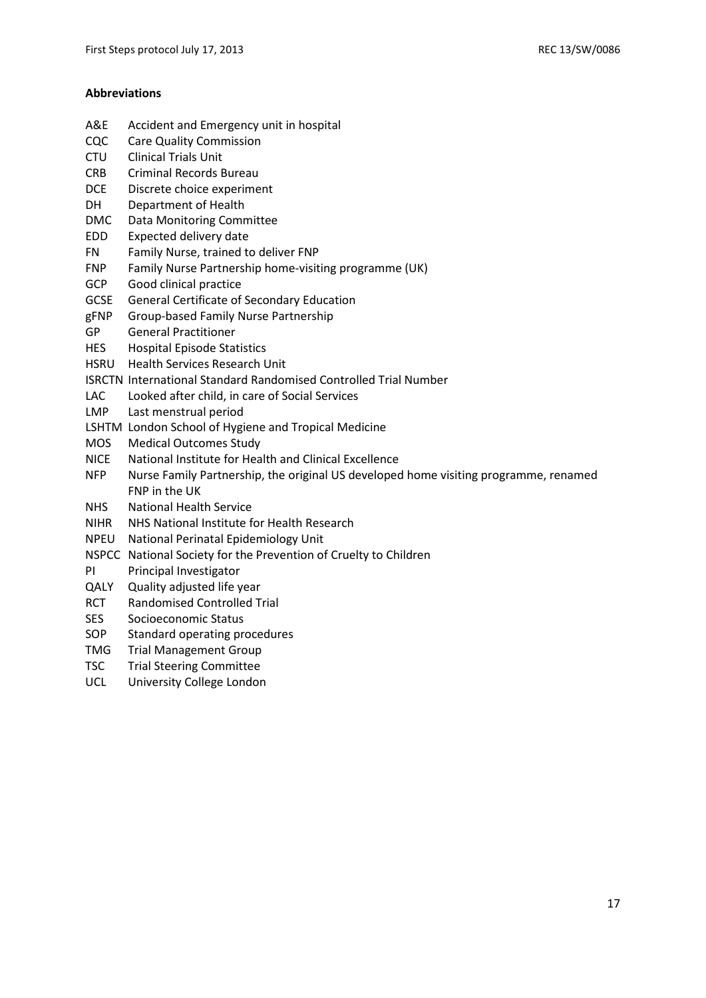#### **Abbreviations**

- A&E Accident and Emergency unit in hospital
- CQC Care Quality Commission
- CTU Clinical Trials Unit
- CRB Criminal Records Bureau
- DCE Discrete choice experiment
- DH Department of Health
- DMC Data Monitoring Committee
- EDD Expected delivery date
- FN Family Nurse, trained to deliver FNP
- FNP Family Nurse Partnership home-visiting programme (UK)
- GCP Good clinical practice
- GCSE General Certificate of Secondary Education
- gFNP Group-based Family Nurse Partnership
- GP General Practitioner
- HES Hospital Episode Statistics
- HSRU Health Services Research Unit
- ISRCTN International Standard Randomised Controlled Trial Number
- LAC Looked after child, in care of Social Services
- LMP Last menstrual period
- LSHTM London School of Hygiene and Tropical Medicine
- MOS Medical Outcomes Study
- NICE National Institute for Health and Clinical Excellence
- NFP Nurse Family Partnership, the original US developed home visiting programme, renamed FNP in the UK
- NHS National Health Service
- NIHR NHS National Institute for Health Research
- NPEU National Perinatal Epidemiology Unit
- NSPCC National Society for the Prevention of Cruelty to Children
- PI Principal Investigator
- QALY Quality adjusted life year
- RCT Randomised Controlled Trial
- SES Socioeconomic Status
- SOP Standard operating procedures
- TMG Trial Management Group
- TSC Trial Steering Committee
- UCL University College London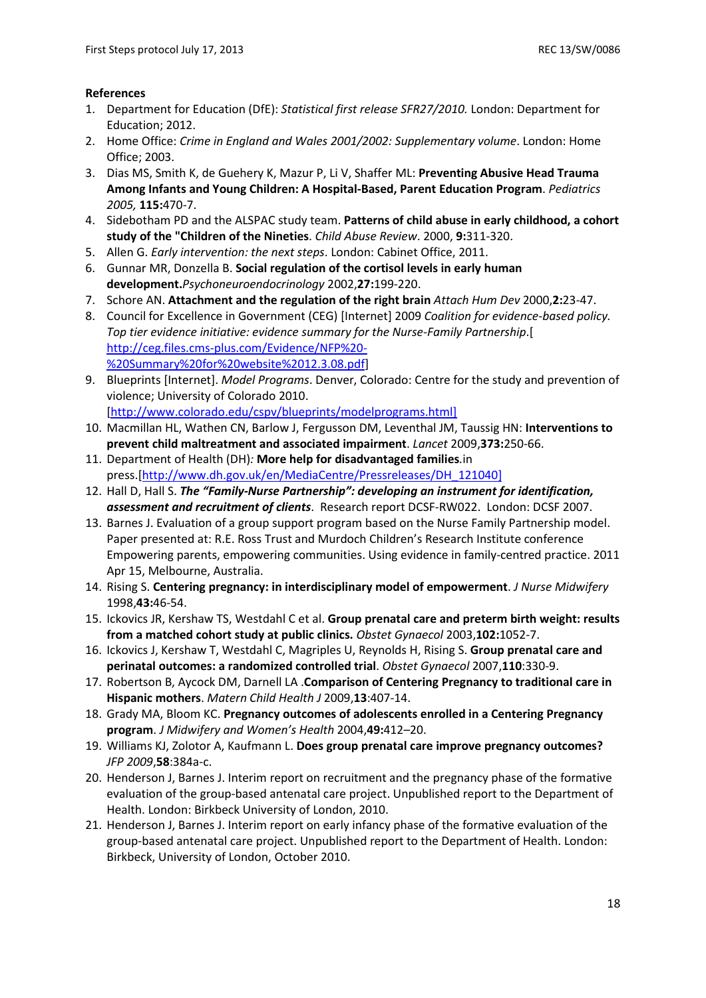#### **References**

- 1. Department for Education (DfE): *Statistical first release SFR27/2010.* London: Department for Education; 2012.
- 2. Home Office: *Crime in England and Wales 2001/2002: Supplementary volume*. London: Home Office; 2003.
- 3. Dias MS, Smith K, de Guehery K, Mazur P, Li V, Shaffer ML: **Preventing Abusive Head Trauma Among Infants and Young Children: A Hospital-Based, Parent Education Program**. *Pediatrics 2005,* **115:**470-7.
- 4. Sidebotham PD and the ALSPAC study team. **Patterns of child abuse in early childhood, a cohort study of the "Children of the Nineties**. *Child Abuse Review*. 2000, **9:**311-320.
- 5. Allen G. *Early intervention: the next steps*. London: Cabinet Office, 2011.
- 6. Gunnar MR, Donzella B. **Social regulation of the cortisol levels in early human development.***Psychoneuroendocrinology* 2002,**27:**199-220.
- 7. Schore AN. **Attachment and the regulation of the right brain** *Attach Hum Dev* 2000,**2:**23-47.
- 8. Council for Excellence in Government (CEG) [Internet] 2009 *Coalition for evidence-based policy. Top tier evidence initiative: evidence summary for the Nurse-Family Partnership*.[ [http://ceg.files.cms-plus.com/Evidence/NFP%20-](http://ceg.files.cms-plus.com/Evidence/NFP%20-%20Summary%20for%20website%2012.3.08.pdf) [%20Summary%20for%20website%2012.3.08.pdf\]](http://ceg.files.cms-plus.com/Evidence/NFP%20-%20Summary%20for%20website%2012.3.08.pdf)
- 9. Blueprints [Internet]. *Model Programs*. Denver, Colorado: Centre for the study and prevention of violence; University of Colorado 2010. [\[http://www.colorado.edu/cspv/blueprints/modelprograms.html\]](http://www.colorado.edu/cspv/blueprints/modelprograms.html)
- 10. Macmillan HL, Wathen CN, Barlow J, Fergusson DM, Leventhal JM, Taussig HN: **Interventions to prevent child maltreatment and associated impairment**. *Lancet* 2009,**373:**250-66.
- 11. Department of Health (DH)*:* **More help for disadvantaged families***.*in press.[\[http://www.dh.gov.uk/en/MediaCentre/Pressreleases/DH\\_121040\]](http://www.dh.gov.uk/en/MediaCentre/Pressreleases/DH_121040)
- 12. Hall D, Hall S. *The "Family-Nurse Partnership": developing an instrument for identification, assessment and recruitment of clients*. Research report DCSF-RW022. London: DCSF 2007.
- 13. Barnes J. Evaluation of a group support program based on the Nurse Family Partnership model. Paper presented at: R.E. Ross Trust and Murdoch Children's Research Institute conference Empowering parents, empowering communities. Using evidence in family-centred practice. 2011 Apr 15, Melbourne, Australia.
- 14. Rising S. **Centering pregnancy: in interdisciplinary model of empowerment**. *J Nurse Midwifery* 1998,**43:**46-54.
- 15. Ickovics JR, Kershaw TS, Westdahl C et al. **Group prenatal care and preterm birth weight: results from a matched cohort study at public clinics.** *Obstet Gynaecol* 2003,**102:**1052-7.
- 16. Ickovics J, Kershaw T, Westdahl C, Magriples U, Reynolds H, Rising S. **Group prenatal care and perinatal outcomes: a randomized controlled trial**. *Obstet Gynaecol* 2007,**110**:330-9.
- 17. Robertson B, Aycock DM, Darnell LA .**Comparison of Centering Pregnancy to traditional care in Hispanic mothers**. *Matern Child Health J* 2009,**13**:407-14.
- 18. Grady MA, Bloom KC. **Pregnancy outcomes of adolescents enrolled in a Centering Pregnancy program**. *J Midwifery and Women's Health* 2004,**49:**412–20.
- 19. Williams KJ, Zolotor A, Kaufmann L. **Does group prenatal care improve pregnancy outcomes?**  *JFP 2009*,**58**:384a-c.
- 20. Henderson J, Barnes J. Interim report on recruitment and the pregnancy phase of the formative evaluation of the group-based antenatal care project. Unpublished report to the Department of Health. London: Birkbeck University of London, 2010.
- 21. Henderson J, Barnes J. Interim report on early infancy phase of the formative evaluation of the group-based antenatal care project. Unpublished report to the Department of Health. London: Birkbeck, University of London, October 2010.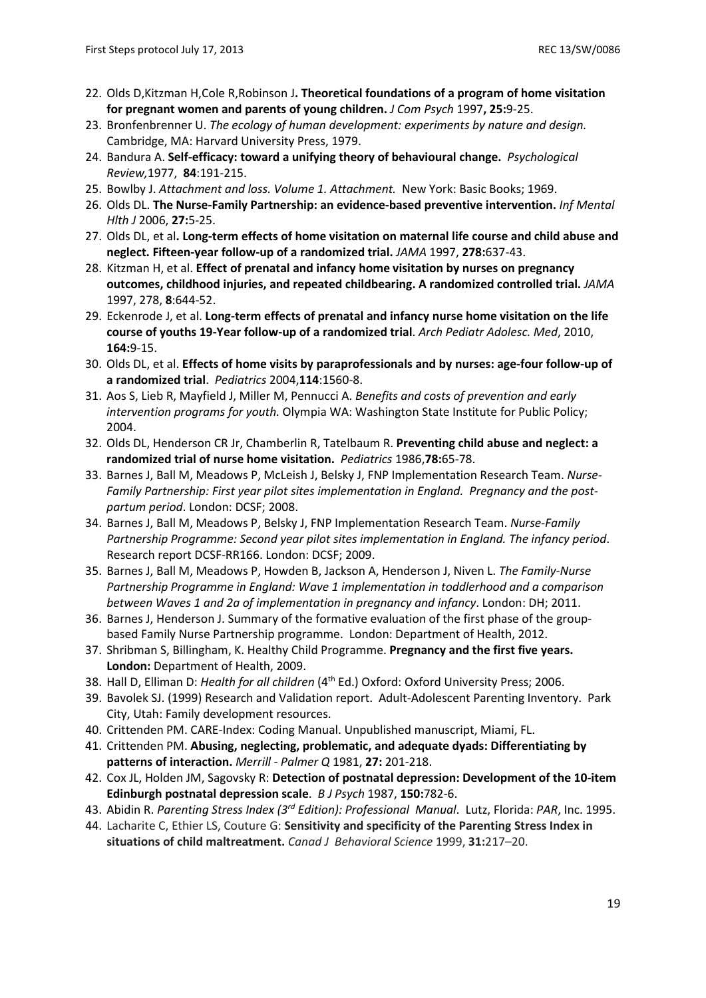- 22. Olds D,Kitzman H,Cole R,Robinson J**. Theoretical foundations of a program of home visitation for pregnant women and parents of young children.** *J Com Psych* 1997**, 25:**9-25.
- 23. Bronfenbrenner U. *The ecology of human development: experiments by nature and design.* Cambridge, MA: Harvard University Press, 1979.
- 24. Bandura A. **Self-efficacy: toward a unifying theory of behavioural change.** *Psychological Review,*1977, **84**:191-215.
- 25. Bowlby J. *Attachment and loss. Volume 1. Attachment.* New York: Basic Books; 1969.
- 26. Olds DL. **The Nurse-Family Partnership: an evidence-based preventive intervention.** *Inf Mental Hlth J* 2006, **27:**5-25.
- 27. Olds DL, et al**. Long-term effects of home visitation on maternal life course and child abuse and neglect. Fifteen-year follow-up of a randomized trial.** *JAMA* 1997, **278:**637-43.
- 28. Kitzman H, et al. **Effect of prenatal and infancy home visitation by nurses on pregnancy outcomes, childhood injuries, and repeated childbearing. A randomized controlled trial.** *JAMA* 1997, 278, **8**:644-52.
- 29. Eckenrode J, et al. **Long-term effects of prenatal and infancy nurse home visitation on the life course of youths 19-Year follow-up of a randomized trial**. *Arch Pediatr Adolesc. Med*, 2010, **164:**9-15.
- 30. Olds DL, et al. **Effects of home visits by paraprofessionals and by nurses: age-four follow-up of a randomized trial**. *Pediatrics* 2004,**114**:1560-8.
- 31. Aos S, Lieb R, Mayfield J, Miller M, Pennucci A. *Benefits and costs of prevention and early intervention programs for youth.* Olympia WA: Washington State Institute for Public Policy; 2004.
- 32. Olds DL, Henderson CR Jr, Chamberlin R, Tatelbaum R. **Preventing child abuse and neglect: a randomized trial of nurse home visitation.** *Pediatrics* 1986,**78:**65-78.
- 33. Barnes J, Ball M, Meadows P, McLeish J, Belsky J, FNP Implementation Research Team. *Nurse-Family Partnership: First year pilot sites implementation in England. Pregnancy and the postpartum period*. London: DCSF; 2008.
- 34. Barnes J, Ball M, Meadows P, Belsky J, FNP Implementation Research Team. *Nurse-Family Partnership Programme: Second year pilot sites implementation in England. The infancy period*. Research report DCSF-RR166. London: DCSF; 2009.
- 35. Barnes J, Ball M, Meadows P, Howden B, Jackson A, Henderson J, Niven L. *The Family-Nurse Partnership Programme in England: Wave 1 implementation in toddlerhood and a comparison between Waves 1 and 2a of implementation in pregnancy and infancy*. London: DH; 2011.
- 36. Barnes J, Henderson J. Summary of the formative evaluation of the first phase of the groupbased Family Nurse Partnership programme. London: Department of Health, 2012.
- 37. Shribman S, Billingham, K. Healthy Child Programme. **Pregnancy and the first five years. London:** Department of Health, 2009.
- 38. Hall D, Elliman D: *Health for all children* (4th Ed.) Oxford: Oxford University Press; 2006.
- 39. Bavolek SJ. (1999) Research and Validation report. Adult-Adolescent Parenting Inventory. Park City, Utah: Family development resources.
- 40. Crittenden PM. CARE-Index: Coding Manual. Unpublished manuscript, Miami, FL.
- 41. Crittenden PM. **Abusing, neglecting, problematic, and adequate dyads: Differentiating by patterns of interaction.** *Merrill - Palmer Q* 1981, **27:** 201-218.
- 42. Cox JL, Holden JM, Sagovsky R: **Detection of postnatal depression: Development of the 10-item Edinburgh postnatal depression scale**. *B J Psych* 1987, **150:**782-6.
- 43. Abidin R. *Parenting Stress Index (3rd Edition): Professional Manual*. Lutz, Florida: *PAR*, Inc. 1995.
- 44. Lacharite C, Ethier LS, Couture G: **Sensitivity and specificity of the Parenting Stress Index in situations of child maltreatment.** *Canad J Behavioral Science* 1999, **31:**217–20.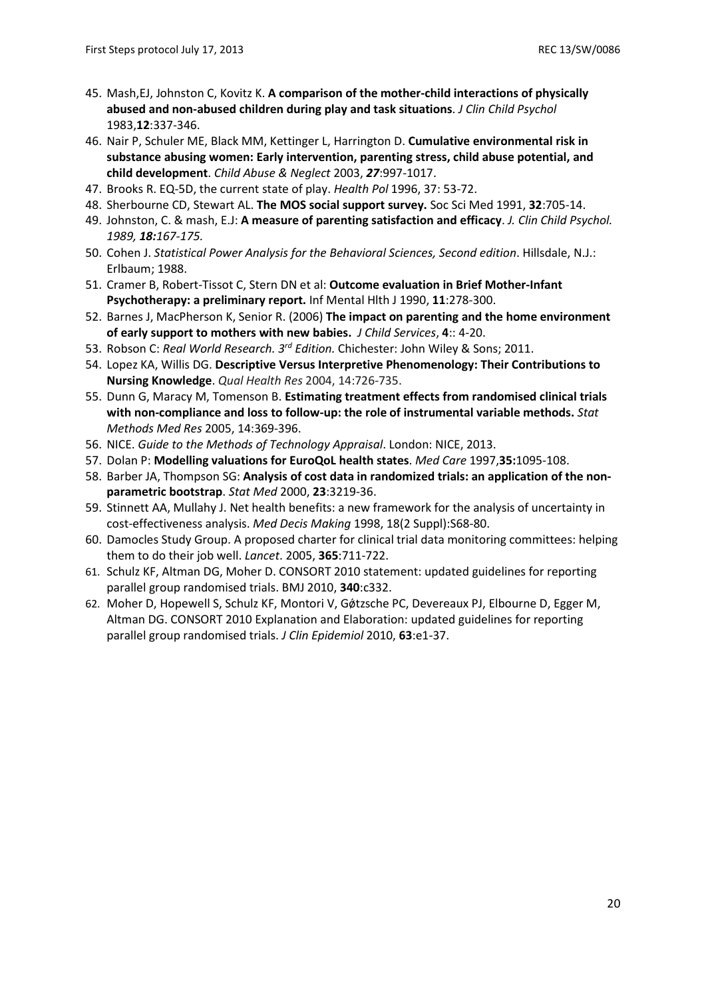- 45. Mash,EJ, Johnston C, Kovitz K. **A comparison of the mother-child interactions of physically abused and non-abused children during play and task situations**. *J Clin Child Psychol* 1983,**12**:337-346.
- 46. Nair P, Schuler ME, Black MM, Kettinger L, Harrington D. **Cumulative environmental risk in substance abusing women: Early intervention, parenting stress, child abuse potential, and child development**. *Child Abuse & Neglect* 2003, *27*:997-1017.
- 47. Brooks R. EQ-5D, the current state of play. *Health Pol* 1996, 37: 53-72.
- 48. Sherbourne CD, Stewart AL. **The MOS social support survey.** Soc Sci Med 1991, **32**:705-14.
- 49. Johnston, C. & mash, E.J: **A measure of parenting satisfaction and efficacy**. *J. Clin Child Psychol. 1989, 18:167-175.*
- 50. Cohen J. *Statistical Power Analysis for the Behavioral Sciences, Second edition*. Hillsdale, N.J.: Erlbaum; 1988.
- 51. Cramer B, Robert-Tissot C, Stern DN et al: **Outcome evaluation in Brief Mother-Infant Psychotherapy: a preliminary report.** Inf Mental Hlth J 1990, **11**:278-300.
- 52. Barnes J, MacPherson K, Senior R. (2006) **The impact on parenting and the home environment of early support to mothers with new babies.** *J Child Services*, **4**:: 4-20.
- 53. Robson C: *Real World Research. 3rd Edition.* Chichester: John Wiley & Sons; 2011.
- 54. Lopez KA, Willis DG. **Descriptive Versus Interpretive Phenomenology: Their Contributions to Nursing Knowledge**. *Qual Health Res* 2004, 14:726-735.
- 55. Dunn G, Maracy M, Tomenson B. **Estimating treatment effects from randomised clinical trials with non-compliance and loss to follow-up: the role of instrumental variable methods.** *Stat Methods Med Res* 2005, 14:369-396.
- 56. NICE. *Guide to the Methods of Technology Appraisal*. London: NICE, 2013.
- 57. Dolan P: **Modelling valuations for EuroQoL health states**. *Med Care* 1997,**35:**1095-108.
- 58. Barber JA, Thompson SG: **Analysis of cost data in randomized trials: an application of the nonparametric bootstrap**. *Stat Med* 2000, **23**:3219-36.
- 59. Stinnett AA, Mullahy J. Net health benefits: a new framework for the analysis of uncertainty in cost-effectiveness analysis. *Med Decis Making* 1998, 18(2 Suppl):S68-80.
- 60. Damocles Study Group. A proposed charter for clinical trial data monitoring committees: helping them to do their job well. *Lancet*. 2005, **365**:711-722.
- 61. Schulz KF, Altman DG, Moher D. CONSORT 2010 statement: updated guidelines for reporting parallel group randomised trials. BMJ 2010, **340**:c332.
- 62. Moher D, Hopewell S, Schulz KF, Montori V, Gǿtzsche PC, Devereaux PJ, Elbourne D, Egger M, Altman DG. CONSORT 2010 Explanation and Elaboration: updated guidelines for reporting parallel group randomised trials. *J Clin Epidemiol* 2010, **63**:e1-37.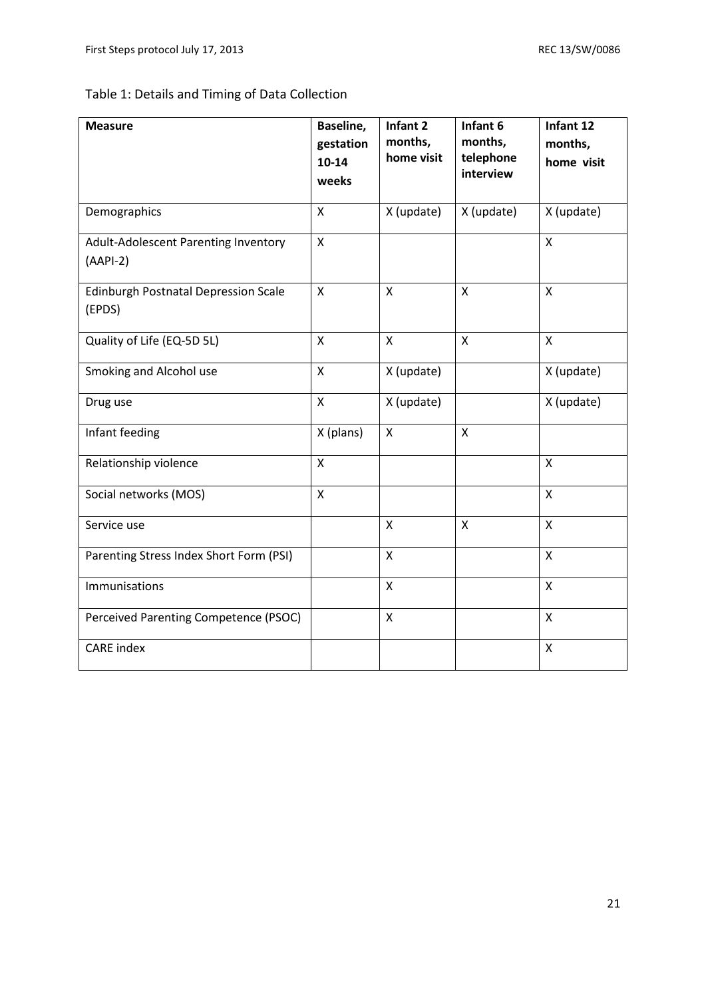# Table 1: Details and Timing of Data Collection

| <b>Measure</b>                                        | Baseline,<br>gestation<br>$10 - 14$<br>weeks | Infant 2<br>months,<br>home visit | Infant 6<br>months,<br>telephone<br>interview | Infant 12<br>months,<br>home visit |
|-------------------------------------------------------|----------------------------------------------|-----------------------------------|-----------------------------------------------|------------------------------------|
| Demographics                                          | X                                            | X (update)                        | X (update)                                    | X (update)                         |
| Adult-Adolescent Parenting Inventory<br>$(AAPI-2)$    | $\mathsf{X}$                                 |                                   |                                               | X                                  |
| <b>Edinburgh Postnatal Depression Scale</b><br>(EPDS) | $\mathsf{x}$                                 | $\mathsf{x}$                      | $\pmb{\mathsf{X}}$                            | $\mathsf{x}$                       |
| Quality of Life (EQ-5D 5L)                            | X                                            | X                                 | $\pmb{\mathsf{X}}$                            | $\boldsymbol{\mathsf{X}}$          |
| Smoking and Alcohol use                               | X                                            | X (update)                        |                                               | X (update)                         |
| Drug use                                              | $\mathsf{x}$                                 | X (update)                        |                                               | X (update)                         |
| Infant feeding                                        | X (plans)                                    | X                                 | $\overline{\mathsf{X}}$                       |                                    |
| Relationship violence                                 | X                                            |                                   |                                               | $\pmb{\mathsf{X}}$                 |
| Social networks (MOS)                                 | X                                            |                                   |                                               | X                                  |
| Service use                                           |                                              | X                                 | X                                             | $\pmb{\mathsf{X}}$                 |
| Parenting Stress Index Short Form (PSI)               |                                              | X                                 |                                               | $\mathsf{x}$                       |
| Immunisations                                         |                                              | X                                 |                                               | $\pmb{\mathsf{X}}$                 |
| Perceived Parenting Competence (PSOC)                 |                                              | X                                 |                                               | $\boldsymbol{\mathsf{X}}$          |
| <b>CARE</b> index                                     |                                              |                                   |                                               | $\mathsf{X}$                       |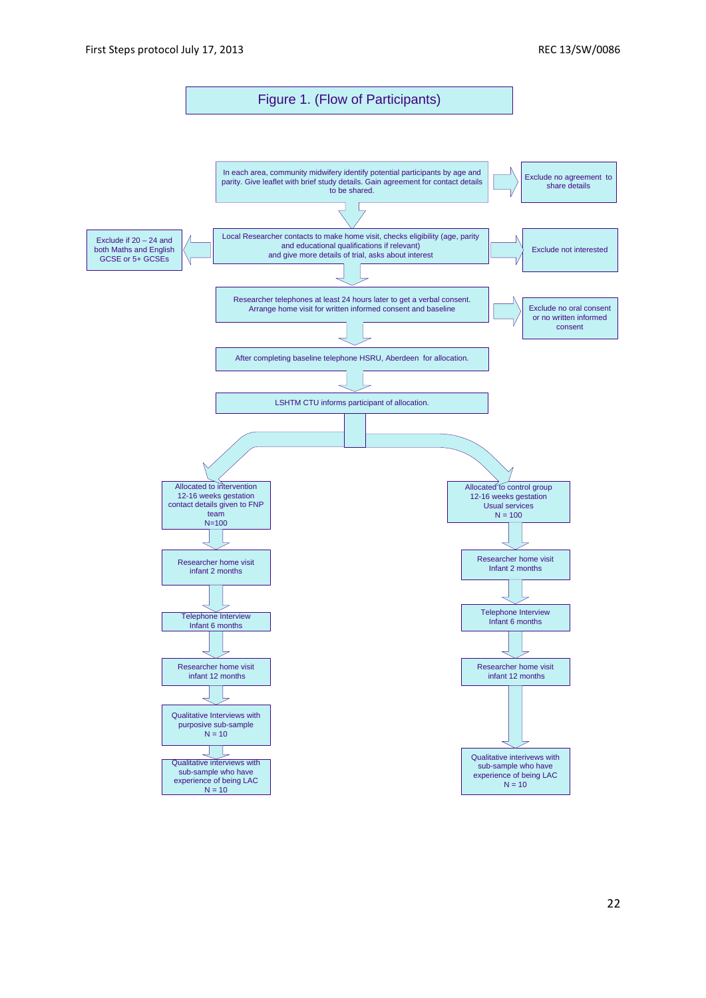Figure 1. (Flow of Participants)

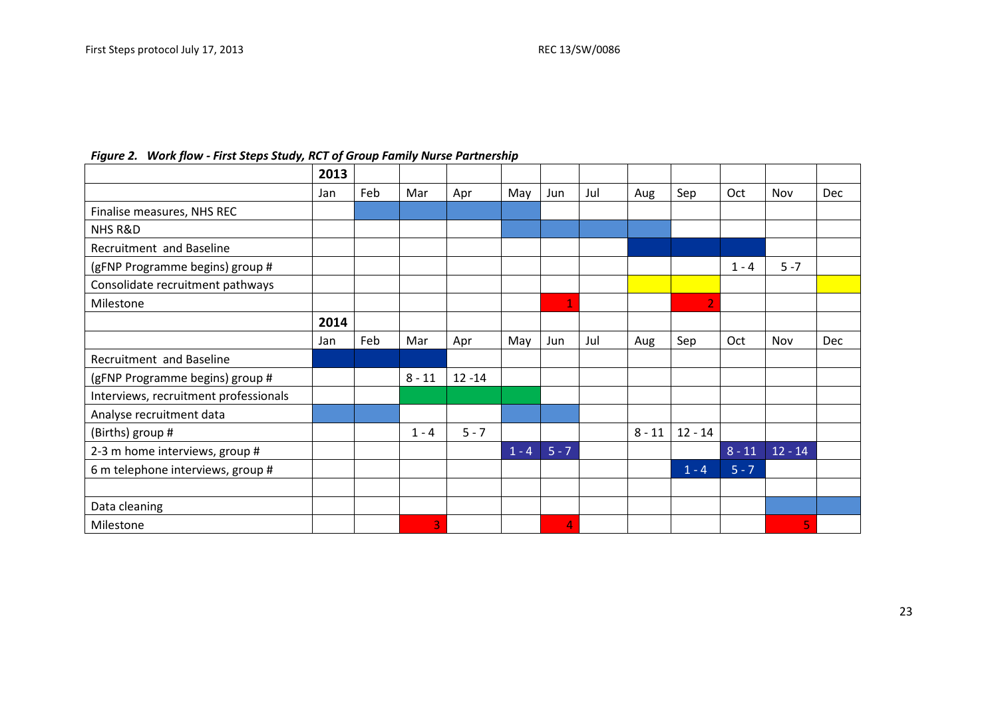$\mathsf{r}$ 

|  |  |  |  | Figure 2. Work flow - First Steps Study, RCT of Group Family Nurse Partnership |  |
|--|--|--|--|--------------------------------------------------------------------------------|--|
|--|--|--|--|--------------------------------------------------------------------------------|--|

|                                       | 2013 |     |          |           |         |         |     |          |                |          |           |     |
|---------------------------------------|------|-----|----------|-----------|---------|---------|-----|----------|----------------|----------|-----------|-----|
|                                       | Jan  | Feb | Mar      | Apr       | May     | Jun     | Jul | Aug      | Sep            | Oct      | Nov       | Dec |
| Finalise measures, NHS REC            |      |     |          |           |         |         |     |          |                |          |           |     |
| NHS R&D                               |      |     |          |           |         |         |     |          |                |          |           |     |
| Recruitment and Baseline              |      |     |          |           |         |         |     |          |                |          |           |     |
| (gFNP Programme begins) group #       |      |     |          |           |         |         |     |          |                | $1 - 4$  | $5 - 7$   |     |
| Consolidate recruitment pathways      |      |     |          |           |         |         |     |          |                |          |           |     |
| Milestone                             |      |     |          |           |         | 1       |     |          | $\overline{2}$ |          |           |     |
|                                       | 2014 |     |          |           |         |         |     |          |                |          |           |     |
|                                       | Jan  | Feb | Mar      | Apr       | May     | Jun     | Jul | Aug      | Sep            | Oct      | Nov       | Dec |
| Recruitment and Baseline              |      |     |          |           |         |         |     |          |                |          |           |     |
| (gFNP Programme begins) group #       |      |     | $8 - 11$ | $12 - 14$ |         |         |     |          |                |          |           |     |
| Interviews, recruitment professionals |      |     |          |           |         |         |     |          |                |          |           |     |
| Analyse recruitment data              |      |     |          |           |         |         |     |          |                |          |           |     |
| (Births) group #                      |      |     | $1 - 4$  | $5 - 7$   |         |         |     | $8 - 11$ | $12 - 14$      |          |           |     |
| 2-3 m home interviews, group #        |      |     |          |           | $1 - 4$ | $5 - 7$ |     |          |                | $8 - 11$ | $12 - 14$ |     |
| 6 m telephone interviews, group #     |      |     |          |           |         |         |     |          | $1 - 4$        | $5 - 7$  |           |     |
|                                       |      |     |          |           |         |         |     |          |                |          |           |     |
| Data cleaning                         |      |     |          |           |         |         |     |          |                |          |           |     |
| Milestone                             |      |     | 3        |           |         | 4       |     |          |                |          | 5         |     |